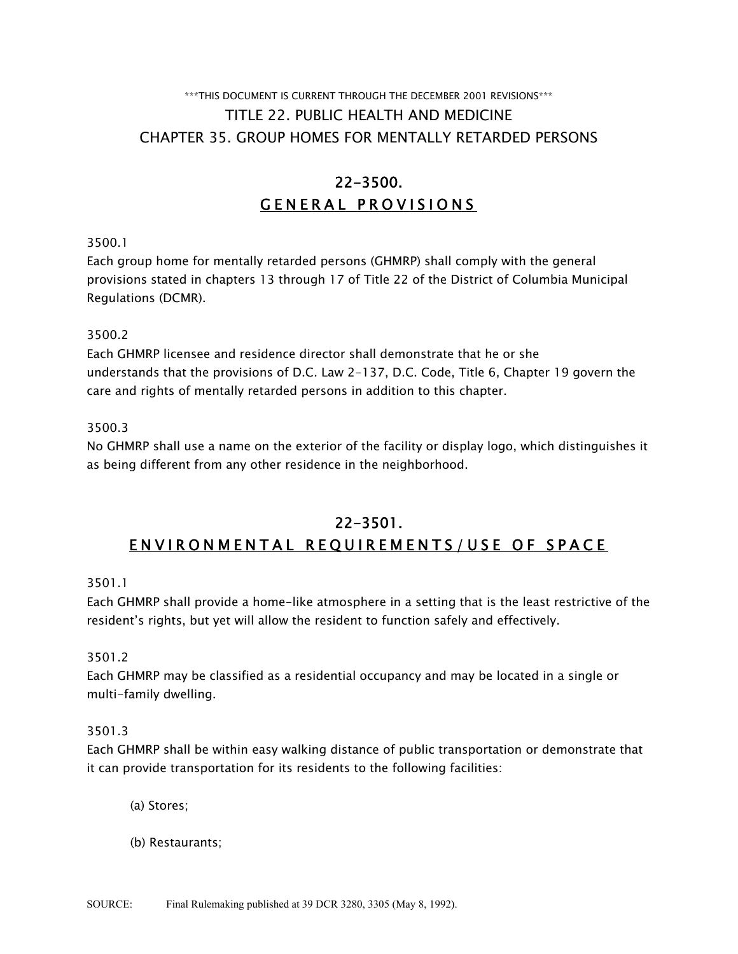# \*\*\*THIS DOCUMENT IS CURRENT THROUGH THE DECEMBER 2001 REVISIONS\*\*\* TITLE 22. PUBLIC HEALTH AND MEDICINE CHAPTER 35. GROUP HOMES FOR MENTALLY RETARDED PERSONS

# 22-3500. GENERAL PROVISIONS

3500.1

Each group home for mentally retarded persons (GHMRP) shall comply with the general provisions stated in chapters 13 through 17 of Title 22 of the District of Columbia Municipal Regulations (DCMR).

3500.2

Each GHMRP licensee and residence director shall demonstrate that he or she understands that the provisions of D.C. Law 2-137, D.C. Code, Title 6, Chapter 19 govern the care and rights of mentally retarded persons in addition to this chapter.

3500.3

No GHMRP shall use a name on the exterior of the facility or display logo, which distinguishes it as being different from any other residence in the neighborhood.

# 22-3501. ENVIRONMENTAL REQUIREMENTS/USE OF SPACE

3501.1

Each GHMRP shall provide a home-like atmosphere in a setting that is the least restrictive of the resident's rights, but yet will allow the resident to function safely and effectively.

3501.2

Each GHMRP may be classified as a residential occupancy and may be located in a single or multi-family dwelling.

3501.3

Each GHMRP shall be within easy walking distance of public transportation or demonstrate that it can provide transportation for its residents to the following facilities:

(a) Stores;

(b) Restaurants;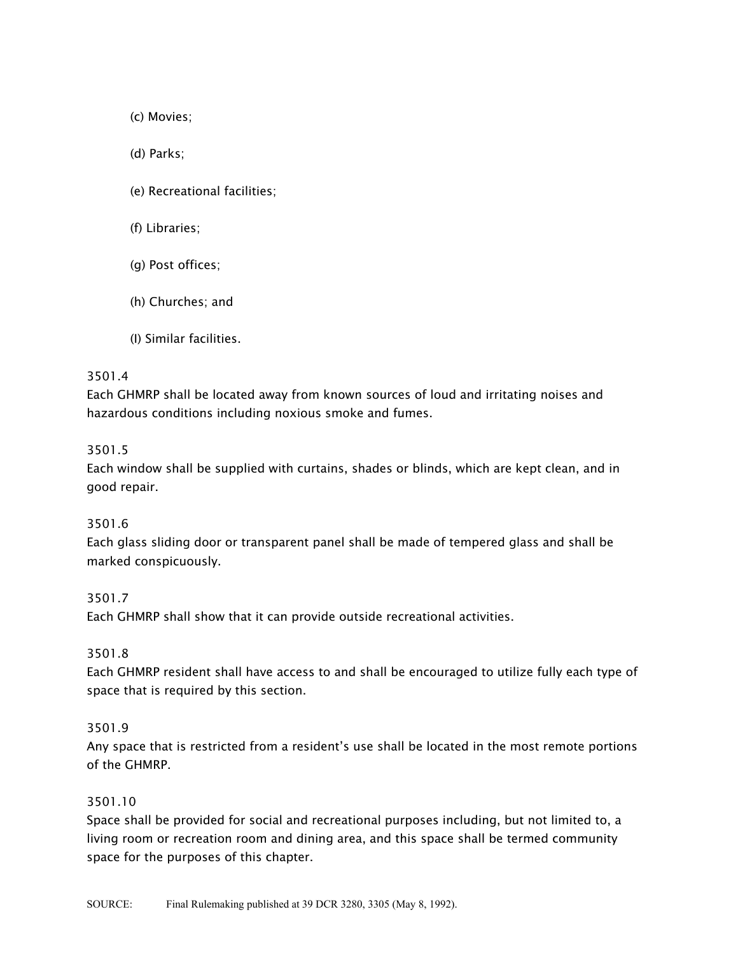(c) Movies;

(d) Parks;

- (e) Recreational facilities;
- (f) Libraries;
- (g) Post offices;
- (h) Churches; and
- (I) Similar facilities.

#### 3501.4

Each GHMRP shall be located away from known sources of loud and irritating noises and hazardous conditions including noxious smoke and fumes.

#### 3501.5

Each window shall be supplied with curtains, shades or blinds, which are kept clean, and in good repair.

#### 3501.6

Each glass sliding door or transparent panel shall be made of tempered glass and shall be marked conspicuously.

## 3501.7

Each GHMRP shall show that it can provide outside recreational activities.

## 3501.8

Each GHMRP resident shall have access to and shall be encouraged to utilize fully each type of space that is required by this section.

#### 3501.9

Any space that is restricted from a resident's use shall be located in the most remote portions of the GHMRP.

#### 3501.10

Space shall be provided for social and recreational purposes including, but not limited to, a living room or recreation room and dining area, and this space shall be termed community space for the purposes of this chapter.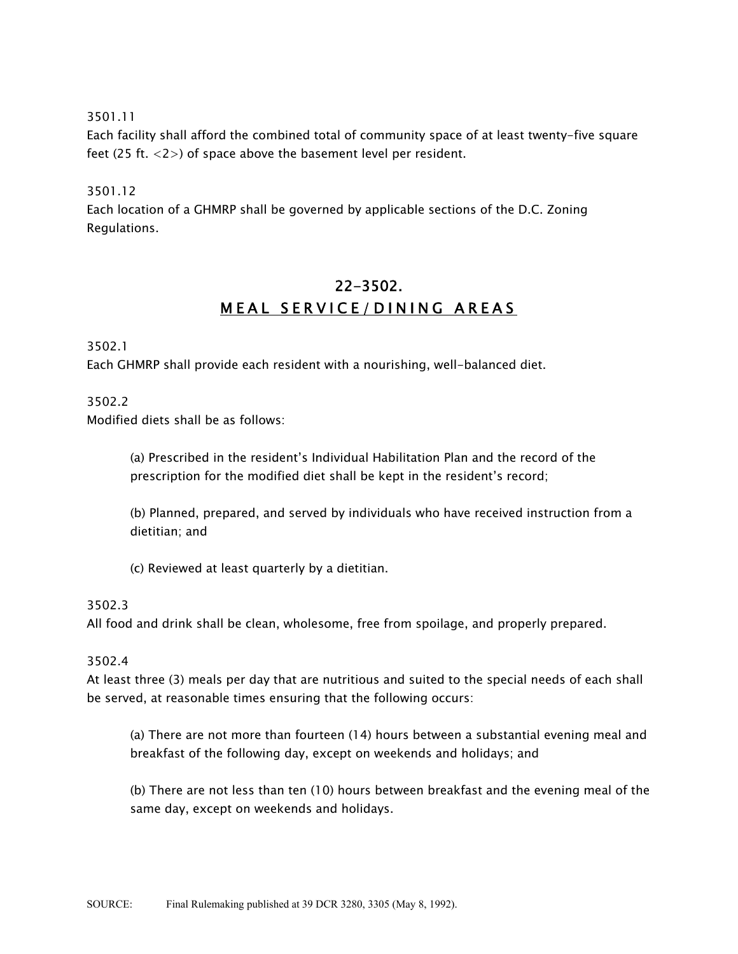Each facility shall afford the combined total of community space of at least twenty-five square feet (25 ft.  $\langle 2 \rangle$ ) of space above the basement level per resident.

# 3501.12

Each location of a GHMRP shall be governed by applicable sections of the D.C. Zoning Regulations.

# 22-3502. MEAL SERVICE/DINING AREAS

3502.1

Each GHMRP shall provide each resident with a nourishing, well-balanced diet.

3502.2

Modified diets shall be as follows:

(a) Prescribed in the resident's Individual Habilitation Plan and the record of the prescription for the modified diet shall be kept in the resident's record;

(b) Planned, prepared, and served by individuals who have received instruction from a dietitian; and

(c) Reviewed at least quarterly by a dietitian.

## 3502.3

All food and drink shall be clean, wholesome, free from spoilage, and properly prepared.

## 3502.4

At least three (3) meals per day that are nutritious and suited to the special needs of each shall be served, at reasonable times ensuring that the following occurs:

(a) There are not more than fourteen (14) hours between a substantial evening meal and breakfast of the following day, except on weekends and holidays; and

(b) There are not less than ten (10) hours between breakfast and the evening meal of the same day, except on weekends and holidays.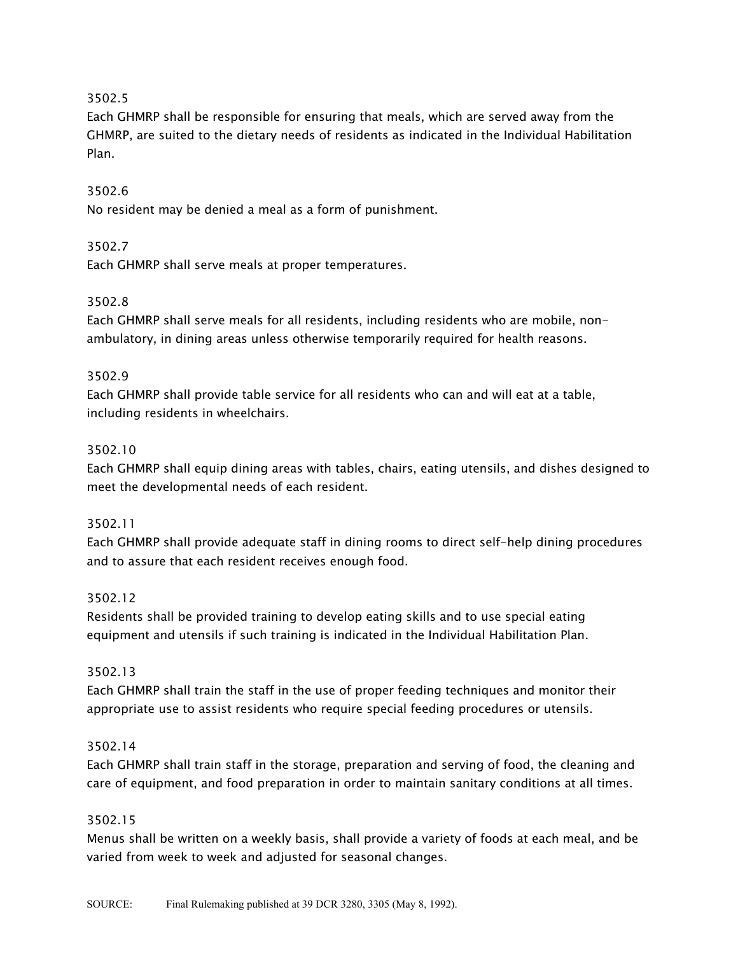Each GHMRP shall be responsible for ensuring that meals, which are served away from the GHMRP, are suited to the dietary needs of residents as indicated in the Individual Habilitation Plan.

# 3502.6

No resident may be denied a meal as a form of punishment.

# 3502.7

Each GHMRP shall serve meals at proper temperatures.

# 3502.8

Each GHMRP shall serve meals for all residents, including residents who are mobile, nonambulatory, in dining areas unless otherwise temporarily required for health reasons.

## 3502.9

Each GHMRP shall provide table service for all residents who can and will eat at a table, including residents in wheelchairs.

# 3502.10

Each GHMRP shall equip dining areas with tables, chairs, eating utensils, and dishes designed to meet the developmental needs of each resident.

## 3502.11

Each GHMRP shall provide adequate staff in dining rooms to direct self-help dining procedures and to assure that each resident receives enough food.

## 3502.12

Residents shall be provided training to develop eating skills and to use special eating equipment and utensils if such training is indicated in the Individual Habilitation Plan.

## 3502.13

Each GHMRP shall train the staff in the use of proper feeding techniques and monitor their appropriate use to assist residents who require special feeding procedures or utensils.

## 3502.14

Each GHMRP shall train staff in the storage, preparation and serving of food, the cleaning and care of equipment, and food preparation in order to maintain sanitary conditions at all times.

## 3502.15

Menus shall be written on a weekly basis, shall provide a variety of foods at each meal, and be varied from week to week and adjusted for seasonal changes.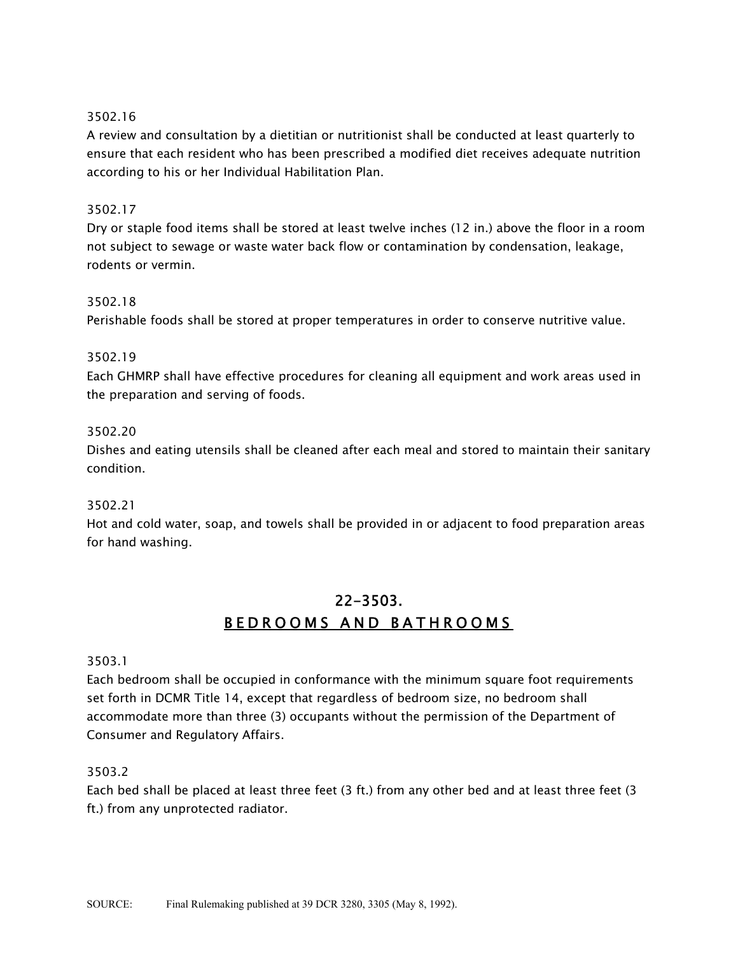A review and consultation by a dietitian or nutritionist shall be conducted at least quarterly to ensure that each resident who has been prescribed a modified diet receives adequate nutrition according to his or her Individual Habilitation Plan.

# 3502.17

Dry or staple food items shall be stored at least twelve inches (12 in.) above the floor in a room not subject to sewage or waste water back flow or contamination by condensation, leakage, rodents or vermin.

# 3502.18

Perishable foods shall be stored at proper temperatures in order to conserve nutritive value.

## 3502.19

Each GHMRP shall have effective procedures for cleaning all equipment and work areas used in the preparation and serving of foods.

## 3502.20

Dishes and eating utensils shall be cleaned after each meal and stored to maintain their sanitary condition.

## 3502.21

Hot and cold water, soap, and towels shall be provided in or adjacent to food preparation areas for hand washing.

# 22-3503. BEDROOMS AND BATHROOMS

## 3503.1

Each bedroom shall be occupied in conformance with the minimum square foot requirements set forth in DCMR Title 14, except that regardless of bedroom size, no bedroom shall accommodate more than three (3) occupants without the permission of the Department of Consumer and Regulatory Affairs.

## 3503.2

Each bed shall be placed at least three feet (3 ft.) from any other bed and at least three feet (3 ft.) from any unprotected radiator.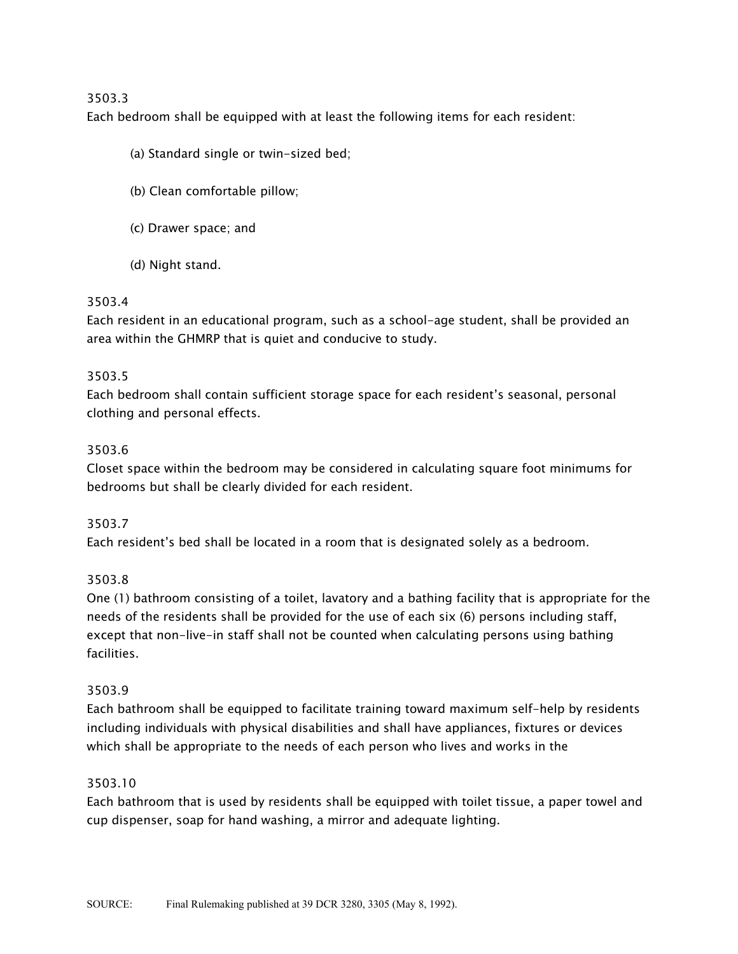Each bedroom shall be equipped with at least the following items for each resident:

- (a) Standard single or twin-sized bed;
- (b) Clean comfortable pillow;
- (c) Drawer space; and
- (d) Night stand.

# 3503.4

Each resident in an educational program, such as a school-age student, shall be provided an area within the GHMRP that is quiet and conducive to study.

# 3503.5

Each bedroom shall contain sufficient storage space for each resident's seasonal, personal clothing and personal effects.

# 3503.6

Closet space within the bedroom may be considered in calculating square foot minimums for bedrooms but shall be clearly divided for each resident.

## 3503.7

Each resident's bed shall be located in a room that is designated solely as a bedroom.

## 3503.8

One (1) bathroom consisting of a toilet, lavatory and a bathing facility that is appropriate for the needs of the residents shall be provided for the use of each six (6) persons including staff, except that non-live-in staff shall not be counted when calculating persons using bathing facilities.

## 3503.9

Each bathroom shall be equipped to facilitate training toward maximum self-help by residents including individuals with physical disabilities and shall have appliances, fixtures or devices which shall be appropriate to the needs of each person who lives and works in the

## 3503.10

Each bathroom that is used by residents shall be equipped with toilet tissue, a paper towel and cup dispenser, soap for hand washing, a mirror and adequate lighting.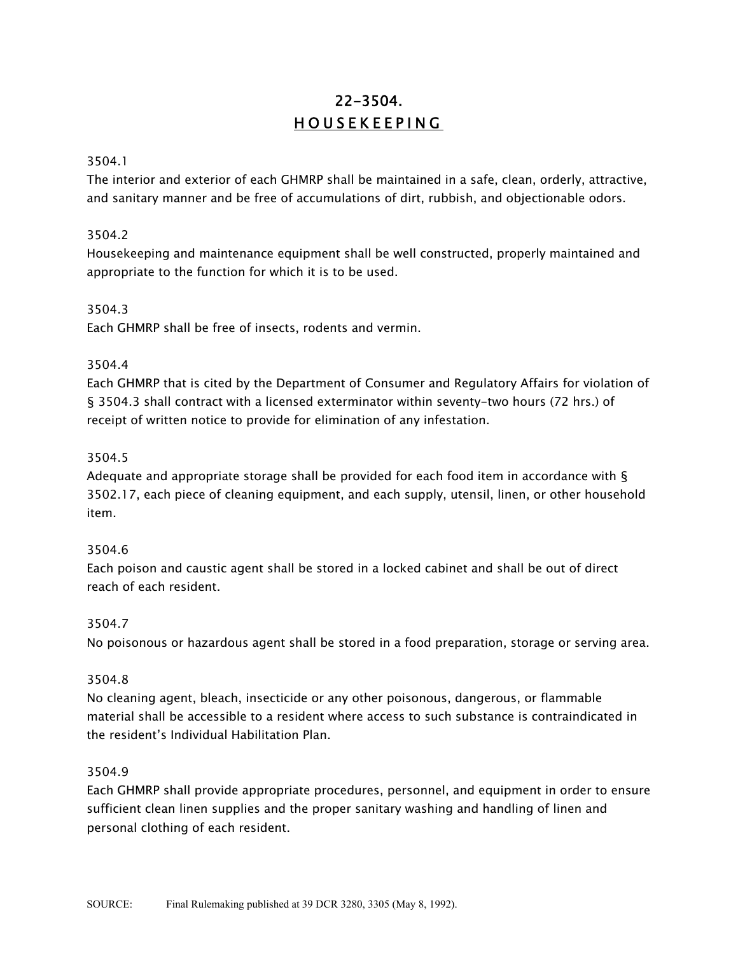# 22-3504. HOUSEKEEPING

## 3504.1

The interior and exterior of each GHMRP shall be maintained in a safe, clean, orderly, attractive, and sanitary manner and be free of accumulations of dirt, rubbish, and objectionable odors.

# 3504.2

Housekeeping and maintenance equipment shall be well constructed, properly maintained and appropriate to the function for which it is to be used.

# 3504.3

Each GHMRP shall be free of insects, rodents and vermin.

# 3504.4

Each GHMRP that is cited by the Department of Consumer and Regulatory Affairs for violation of § 3504.3 shall contract with a licensed exterminator within seventy-two hours (72 hrs.) of receipt of written notice to provide for elimination of any infestation.

# 3504.5

Adequate and appropriate storage shall be provided for each food item in accordance with § 3502.17, each piece of cleaning equipment, and each supply, utensil, linen, or other household item.

# 3504.6

Each poison and caustic agent shall be stored in a locked cabinet and shall be out of direct reach of each resident.

## 3504.7

No poisonous or hazardous agent shall be stored in a food preparation, storage or serving area.

## 3504.8

No cleaning agent, bleach, insecticide or any other poisonous, dangerous, or flammable material shall be accessible to a resident where access to such substance is contraindicated in the resident's Individual Habilitation Plan.

## 3504.9

Each GHMRP shall provide appropriate procedures, personnel, and equipment in order to ensure sufficient clean linen supplies and the proper sanitary washing and handling of linen and personal clothing of each resident.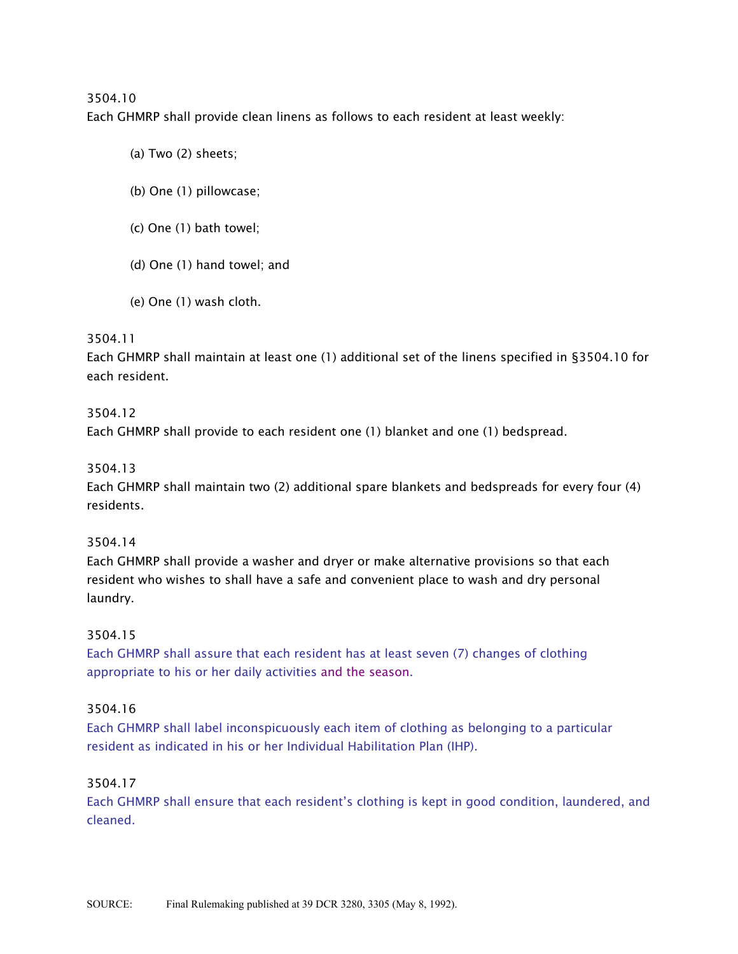Each GHMRP shall provide clean linens as follows to each resident at least weekly:

- (a) Two (2) sheets;
- (b) One (1) pillowcase;
- (c) One (1) bath towel;
- (d) One (1) hand towel; and
- (e) One (1) wash cloth.

## 3504.11

Each GHMRP shall maintain at least one (1) additional set of the linens specified in §3504.10 for each resident.

#### 3504.12

Each GHMRP shall provide to each resident one (1) blanket and one (1) bedspread.

#### 3504.13

Each GHMRP shall maintain two (2) additional spare blankets and bedspreads for every four (4) residents.

#### 3504.14

Each GHMRP shall provide a washer and dryer or make alternative provisions so that each resident who wishes to shall have a safe and convenient place to wash and dry personal laundry.

## 3504.15

Each GHMRP shall assure that each resident has at least seven (7) changes of clothing appropriate to his or her daily activities and the season.

## 3504.16

Each GHMRP shall label inconspicuously each item of clothing as belonging to a particular resident as indicated in his or her Individual Habilitation Plan (IHP).

## 3504.17

Each GHMRP shall ensure that each resident's clothing is kept in good condition, laundered, and cleaned.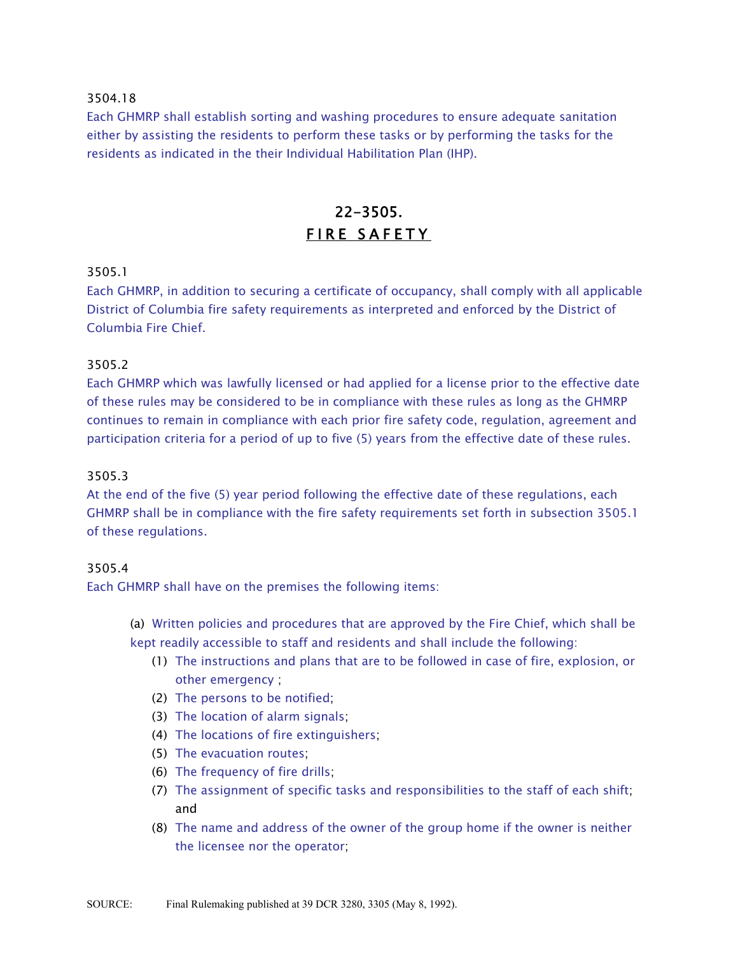Each GHMRP shall establish sorting and washing procedures to ensure adequate sanitation either by assisting the residents to perform these tasks or by performing the tasks for the residents as indicated in the their Individual Habilitation Plan (IHP).

# 22-3505. FIRE SAFETY

## 3505.1

Each GHMRP, in addition to securing a certificate of occupancy, shall comply with all applicable District of Columbia fire safety requirements as interpreted and enforced by the District of Columbia Fire Chief.

#### 3505.2

Each GHMRP which was lawfully licensed or had applied for a license prior to the effective date of these rules may be considered to be in compliance with these rules as long as the GHMRP continues to remain in compliance with each prior fire safety code, regulation, agreement and participation criteria for a period of up to five (5) years from the effective date of these rules.

#### 3505.3

At the end of the five (5) year period following the effective date of these regulations, each GHMRP shall be in compliance with the fire safety requirements set forth in subsection 3505.1 of these regulations.

#### 3505.4

Each GHMRP shall have on the premises the following items:

(a) Written policies and procedures that are approved by the Fire Chief, which shall be kept readily accessible to staff and residents and shall include the following:

- (1) The instructions and plans that are to be followed in case of fire, explosion, or other emergency ;
- (2) The persons to be notified;
- (3) The location of alarm signals;
- (4) The locations of fire extinguishers;
- (5) The evacuation routes;
- (6) The frequency of fire drills;
- (7) The assignment of specific tasks and responsibilities to the staff of each shift; and
- (8) The name and address of the owner of the group home if the owner is neither the licensee nor the operator;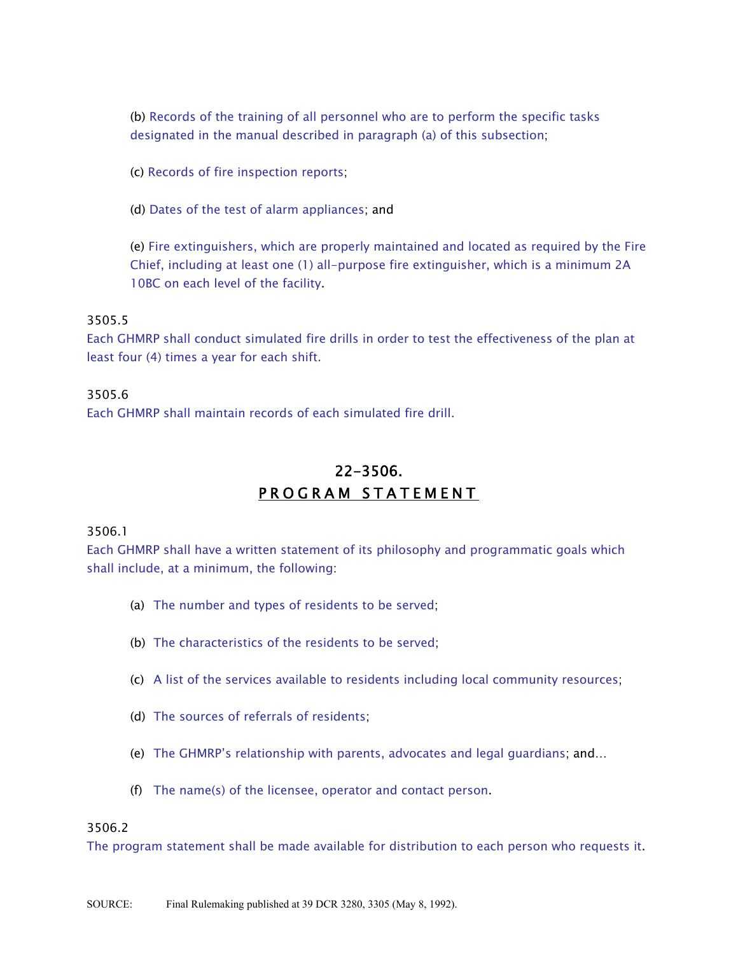(b) Records of the training of all personnel who are to perform the specific tasks designated in the manual described in paragraph (a) of this subsection;

(c) Records of fire inspection reports;

(d) Dates of the test of alarm appliances; and

(e) Fire extinguishers, which are properly maintained and located as required by the Fire Chief, including at least one (1) all-purpose fire extinguisher, which is a minimum 2A 10BC on each level of the facility.

#### 3505.5

Each GHMRP shall conduct simulated fire drills in order to test the effectiveness of the plan at least four (4) times a year for each shift.

#### 3505.6

Each GHMRP shall maintain records of each simulated fire drill.

# 22-3506. PROGRAM STATEMENT

#### 3506.1

Each GHMRP shall have a written statement of its philosophy and programmatic goals which shall include, at a minimum, the following:

- (a) The number and types of residents to be served;
- (b) The characteristics of the residents to be served;
- (c) A list of the services available to residents including local community resources;
- (d) The sources of referrals of residents;
- (e) The GHMRP's relationship with parents, advocates and legal guardians; and...
- (f) The name(s) of the licensee, operator and contact person.

#### 3506.2

The program statement shall be made available for distribution to each person who requests it.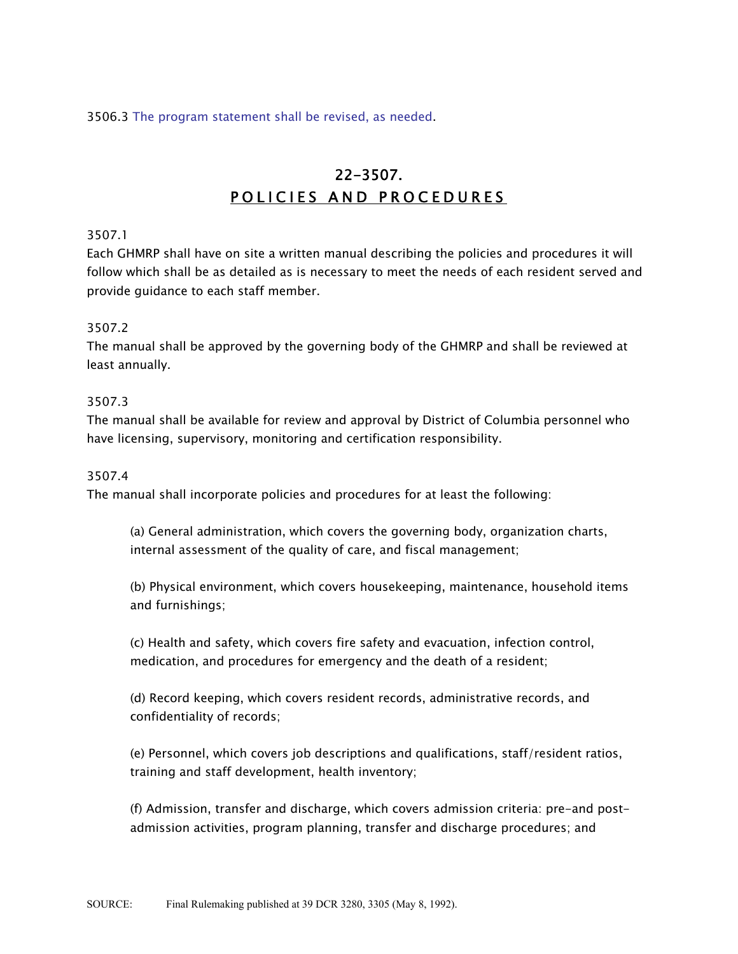3506.3 The program statement shall be revised, as needed.

# 22-3507. POLICIES AND PROCEDURES

#### 3507.1

Each GHMRP shall have on site a written manual describing the policies and procedures it will follow which shall be as detailed as is necessary to meet the needs of each resident served and provide guidance to each staff member.

#### 3507.2

The manual shall be approved by the governing body of the GHMRP and shall be reviewed at least annually.

#### 3507.3

The manual shall be available for review and approval by District of Columbia personnel who have licensing, supervisory, monitoring and certification responsibility.

#### 3507.4

The manual shall incorporate policies and procedures for at least the following:

(a) General administration, which covers the governing body, organization charts, internal assessment of the quality of care, and fiscal management;

(b) Physical environment, which covers housekeeping, maintenance, household items and furnishings;

(c) Health and safety, which covers fire safety and evacuation, infection control, medication, and procedures for emergency and the death of a resident;

(d) Record keeping, which covers resident records, administrative records, and confidentiality of records;

(e) Personnel, which covers job descriptions and qualifications, staff/resident ratios, training and staff development, health inventory;

(f) Admission, transfer and discharge, which covers admission criteria: pre-and postadmission activities, program planning, transfer and discharge procedures; and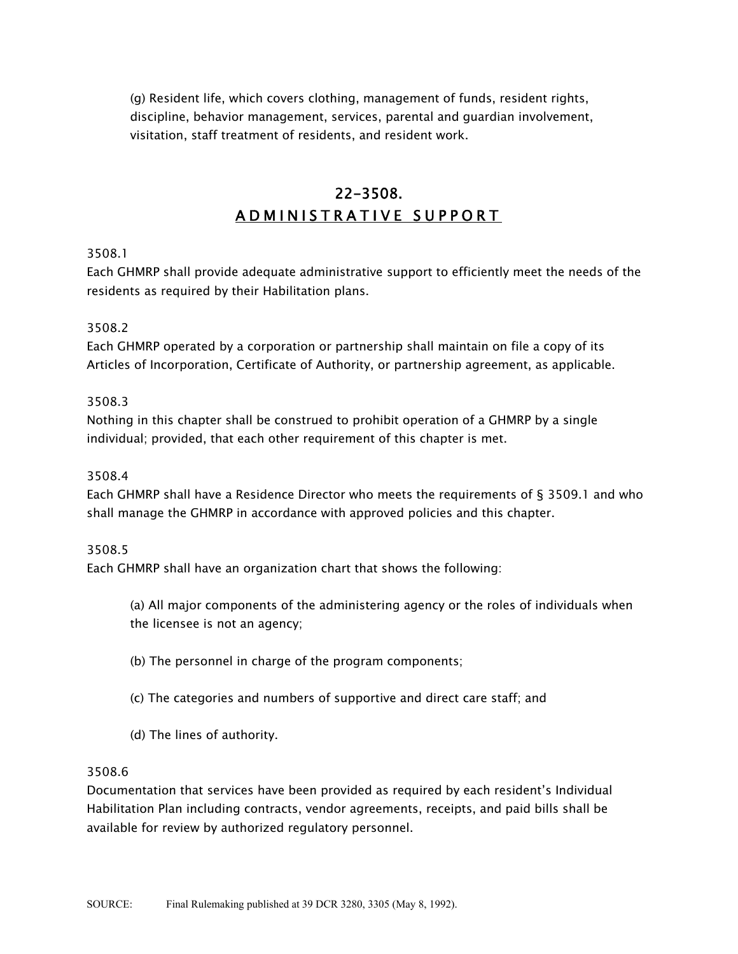(g) Resident life, which covers clothing, management of funds, resident rights, discipline, behavior management, services, parental and guardian involvement, visitation, staff treatment of residents, and resident work.

# 22-3508. ADMINISTRATIVE SUPPORT

## 3508.1

Each GHMRP shall provide adequate administrative support to efficiently meet the needs of the residents as required by their Habilitation plans.

#### 3508.2

Each GHMRP operated by a corporation or partnership shall maintain on file a copy of its Articles of Incorporation, Certificate of Authority, or partnership agreement, as applicable.

#### 3508.3

Nothing in this chapter shall be construed to prohibit operation of a GHMRP by a single individual; provided, that each other requirement of this chapter is met.

#### 3508.4

Each GHMRP shall have a Residence Director who meets the requirements of § 3509.1 and who shall manage the GHMRP in accordance with approved policies and this chapter.

#### 3508.5

Each GHMRP shall have an organization chart that shows the following:

(a) All major components of the administering agency or the roles of individuals when the licensee is not an agency;

- (b) The personnel in charge of the program components;
- (c) The categories and numbers of supportive and direct care staff; and
- (d) The lines of authority.

#### 3508.6

Documentation that services have been provided as required by each resident's Individual Habilitation Plan including contracts, vendor agreements, receipts, and paid bills shall be available for review by authorized regulatory personnel.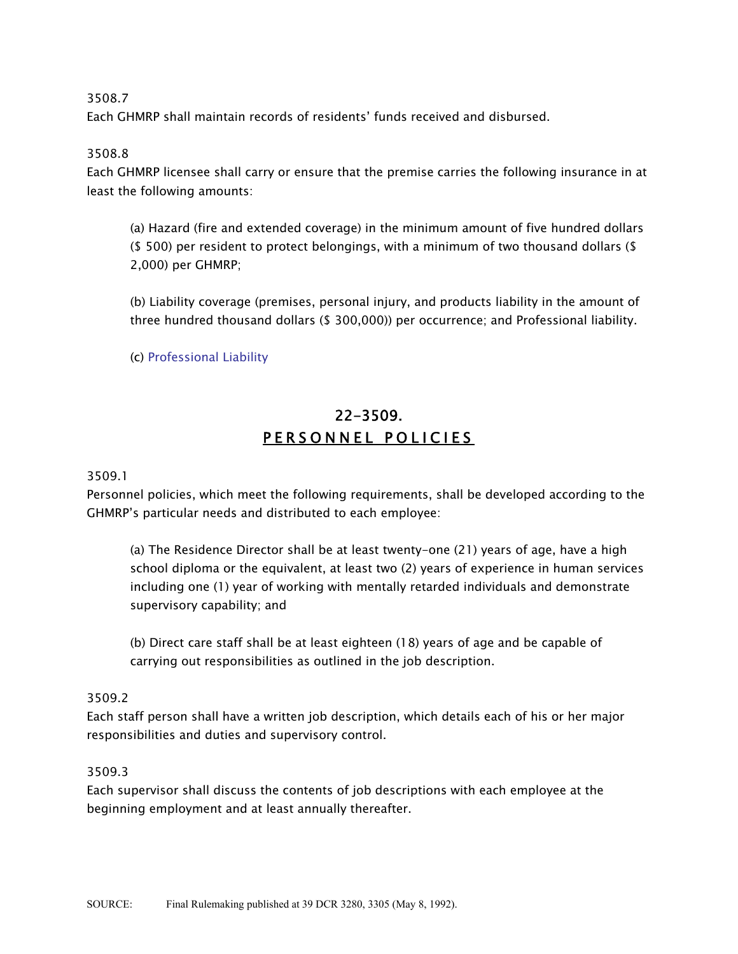Each GHMRP shall maintain records of residents' funds received and disbursed.

## 3508.8

Each GHMRP licensee shall carry or ensure that the premise carries the following insurance in at least the following amounts:

(a) Hazard (fire and extended coverage) in the minimum amount of five hundred dollars (\$ 500) per resident to protect belongings, with a minimum of two thousand dollars (\$ 2,000) per GHMRP;

(b) Liability coverage (premises, personal injury, and products liability in the amount of three hundred thousand dollars (\$ 300,000)) per occurrence; and Professional liability.

(c) Professional Liability

# 22-3509. PERSONNEL POLICIES

#### 3509.1

Personnel policies, which meet the following requirements, shall be developed according to the GHMRP's particular needs and distributed to each employee:

(a) The Residence Director shall be at least twenty-one (21) years of age, have a high school diploma or the equivalent, at least two (2) years of experience in human services including one (1) year of working with mentally retarded individuals and demonstrate supervisory capability; and

(b) Direct care staff shall be at least eighteen (18) years of age and be capable of carrying out responsibilities as outlined in the job description.

## 3509.2

Each staff person shall have a written job description, which details each of his or her major responsibilities and duties and supervisory control.

#### 3509.3

Each supervisor shall discuss the contents of job descriptions with each employee at the beginning employment and at least annually thereafter.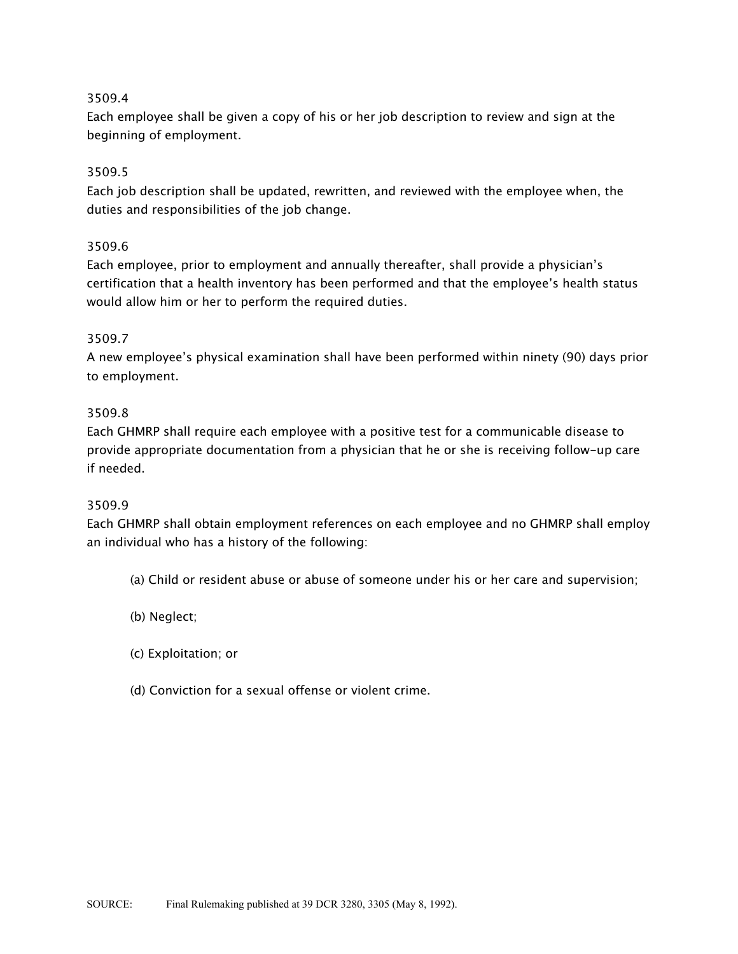Each employee shall be given a copy of his or her job description to review and sign at the beginning of employment.

## 3509.5

Each job description shall be updated, rewritten, and reviewed with the employee when, the duties and responsibilities of the job change.

## 3509.6

Each employee, prior to employment and annually thereafter, shall provide a physician's certification that a health inventory has been performed and that the employee's health status would allow him or her to perform the required duties.

## 3509.7

A new employee's physical examination shall have been performed within ninety (90) days prior to employment.

## 3509.8

Each GHMRP shall require each employee with a positive test for a communicable disease to provide appropriate documentation from a physician that he or she is receiving follow-up care if needed.

## 3509.9

Each GHMRP shall obtain employment references on each employee and no GHMRP shall employ an individual who has a history of the following:

- (a) Child or resident abuse or abuse of someone under his or her care and supervision;
- (b) Neglect;
- (c) Exploitation; or
- (d) Conviction for a sexual offense or violent crime.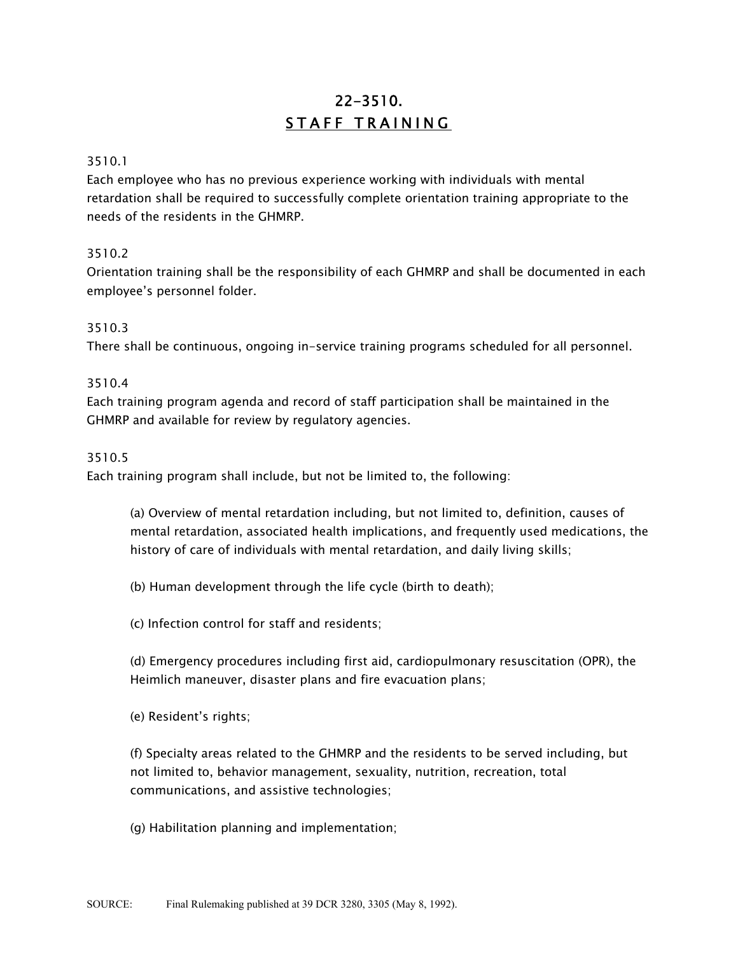# 22-3510. STAFF TRAINING

#### 3510.1

Each employee who has no previous experience working with individuals with mental retardation shall be required to successfully complete orientation training appropriate to the needs of the residents in the GHMRP.

## 3510.2

Orientation training shall be the responsibility of each GHMRP and shall be documented in each employee's personnel folder.

#### 3510.3

There shall be continuous, ongoing in-service training programs scheduled for all personnel.

#### 3510.4

Each training program agenda and record of staff participation shall be maintained in the GHMRP and available for review by regulatory agencies.

#### 3510.5

Each training program shall include, but not be limited to, the following:

(a) Overview of mental retardation including, but not limited to, definition, causes of mental retardation, associated health implications, and frequently used medications, the history of care of individuals with mental retardation, and daily living skills;

(b) Human development through the life cycle (birth to death);

(c) Infection control for staff and residents;

(d) Emergency procedures including first aid, cardiopulmonary resuscitation (OPR), the Heimlich maneuver, disaster plans and fire evacuation plans;

(e) Resident's rights;

(f) Specialty areas related to the GHMRP and the residents to be served including, but not limited to, behavior management, sexuality, nutrition, recreation, total communications, and assistive technologies;

(g) Habilitation planning and implementation;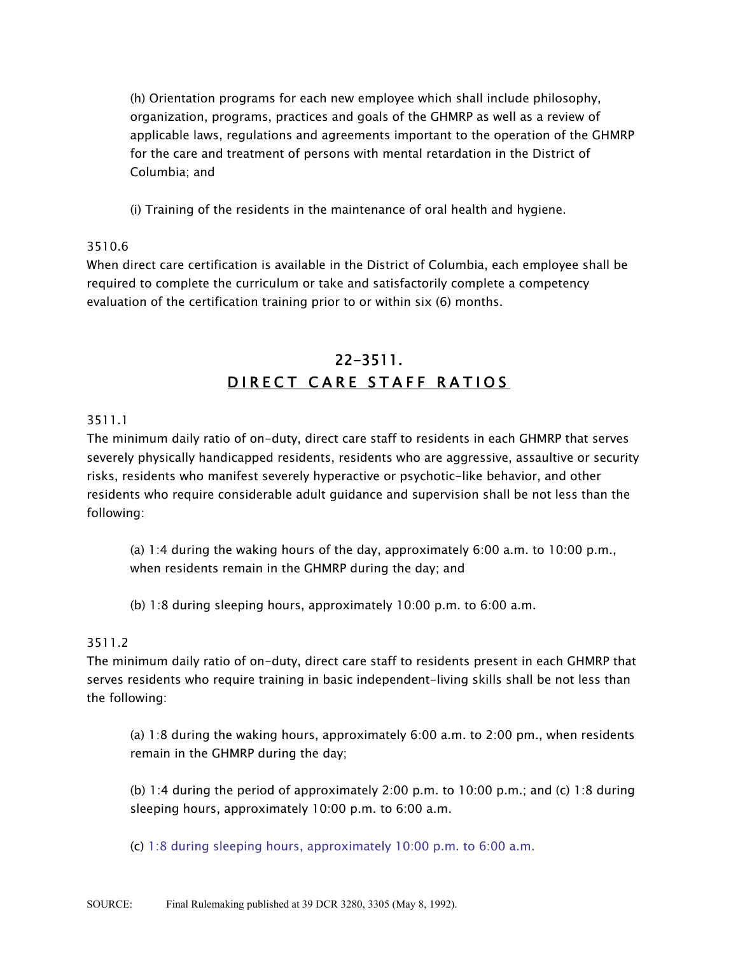(h) Orientation programs for each new employee which shall include philosophy, organization, programs, practices and goals of the GHMRP as well as a review of applicable laws, regulations and agreements important to the operation of the GHMRP for the care and treatment of persons with mental retardation in the District of Columbia; and

(i) Training of the residents in the maintenance of oral health and hygiene.

## 3510.6

When direct care certification is available in the District of Columbia, each employee shall be required to complete the curriculum or take and satisfactorily complete a competency evaluation of the certification training prior to or within six (6) months.

# 22-3511. DIRECT CARE STAFF RATIOS

# 3511.1

The minimum daily ratio of on-duty, direct care staff to residents in each GHMRP that serves severely physically handicapped residents, residents who are aggressive, assaultive or security risks, residents who manifest severely hyperactive or psychotic-like behavior, and other residents who require considerable adult guidance and supervision shall be not less than the following:

(a) 1:4 during the waking hours of the day, approximately 6:00 a.m. to 10:00 p.m., when residents remain in the GHMRP during the day; and

(b) 1:8 during sleeping hours, approximately 10:00 p.m. to 6:00 a.m.

## 3511.2

The minimum daily ratio of on-duty, direct care staff to residents present in each GHMRP that serves residents who require training in basic independent-living skills shall be not less than the following:

(a) 1:8 during the waking hours, approximately 6:00 a.m. to 2:00 pm., when residents remain in the GHMRP during the day;

(b) 1:4 during the period of approximately 2:00 p.m. to 10:00 p.m.; and (c) 1:8 during sleeping hours, approximately 10:00 p.m. to 6:00 a.m.

(c) 1:8 during sleeping hours, approximately 10:00 p.m. to 6:00 a.m.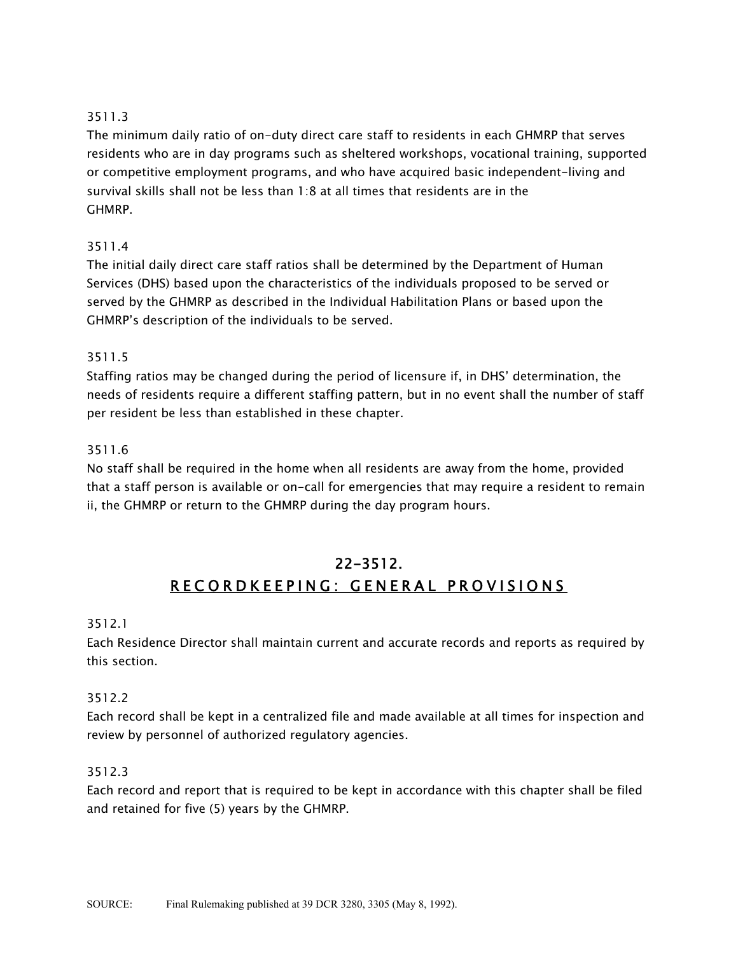The minimum daily ratio of on-duty direct care staff to residents in each GHMRP that serves residents who are in day programs such as sheltered workshops, vocational training, supported or competitive employment programs, and who have acquired basic independent-living and survival skills shall not be less than 1:8 at all times that residents are in the GHMRP.

# 3511.4

The initial daily direct care staff ratios shall be determined by the Department of Human Services (DHS) based upon the characteristics of the individuals proposed to be served or served by the GHMRP as described in the Individual Habilitation Plans or based upon the GHMRP's description of the individuals to be served.

# 3511.5

Staffing ratios may be changed during the period of licensure if, in DHS' determination, the needs of residents require a different staffing pattern, but in no event shall the number of staff per resident be less than established in these chapter.

# 3511.6

No staff shall be required in the home when all residents are away from the home, provided that a staff person is available or on-call for emergencies that may require a resident to remain ii, the GHMRP or return to the GHMRP during the day program hours.

# 22-3512. RECORDKEEPING: GENERAL PROVISIONS

## 3512.1

Each Residence Director shall maintain current and accurate records and reports as required by this section.

## 3512.2

Each record shall be kept in a centralized file and made available at all times for inspection and review by personnel of authorized regulatory agencies.

## 3512.3

Each record and report that is required to be kept in accordance with this chapter shall be filed and retained for five (5) years by the GHMRP.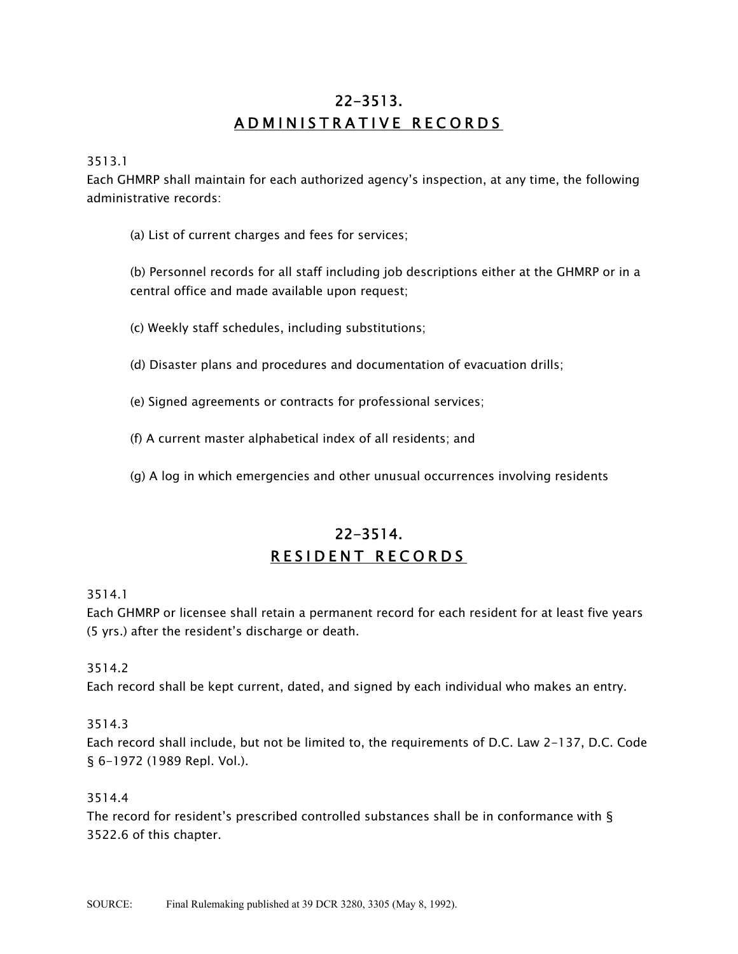# 22-3513. ADMINISTRATIVE RECORDS

3513.1

Each GHMRP shall maintain for each authorized agency's inspection, at any time, the following administrative records:

(a) List of current charges and fees for services;

(b) Personnel records for all staff including job descriptions either at the GHMRP or in a central office and made available upon request;

(c) Weekly staff schedules, including substitutions;

(d) Disaster plans and procedures and documentation of evacuation drills;

(e) Signed agreements or contracts for professional services;

(f) A current master alphabetical index of all residents; and

(g) A log in which emergencies and other unusual occurrences involving residents

# 22-3514. RESIDENT RECORDS

3514.1

Each GHMRP or licensee shall retain a permanent record for each resident for at least five years (5 yrs.) after the resident's discharge or death.

## 3514.2

Each record shall be kept current, dated, and signed by each individual who makes an entry.

## 3514.3

Each record shall include, but not be limited to, the requirements of D.C. Law 2-137, D.C. Code § 6-1972 (1989 Repl. Vol.).

#### 3514.4

The record for resident's prescribed controlled substances shall be in conformance with  $\S$ 3522.6 of this chapter.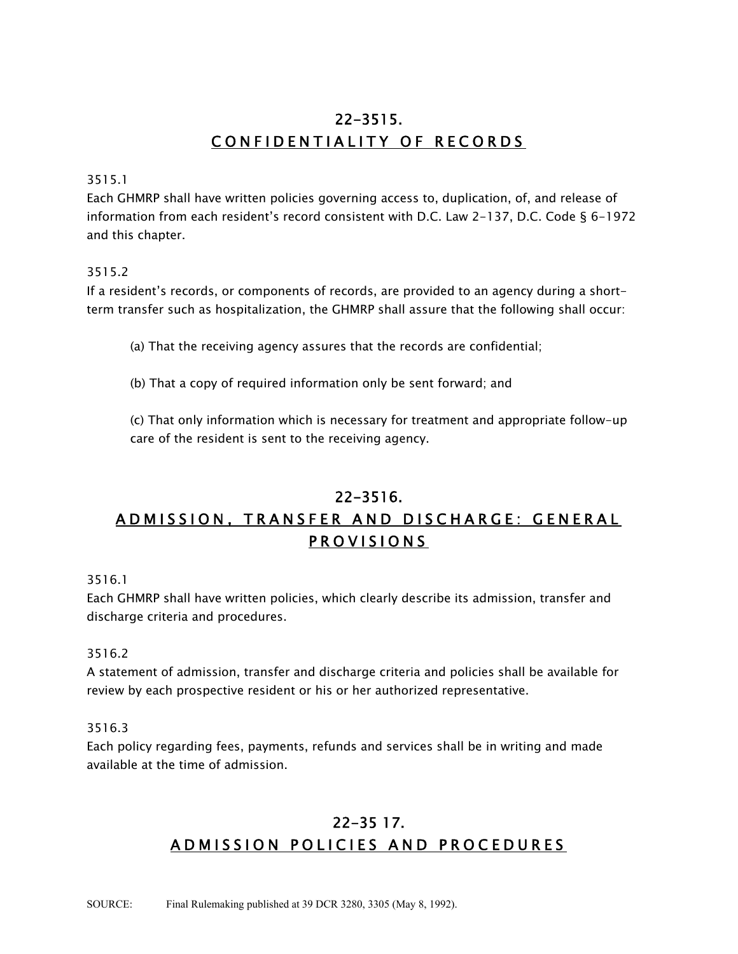# 22-3515. CONFIDENTIALITY OF RECORDS

#### 3515.1

Each GHMRP shall have written policies governing access to, duplication, of, and release of information from each resident's record consistent with D.C. Law 2-137, D.C. Code § 6-1972 and this chapter.

## 3515.2

If a resident's records, or components of records, are provided to an agency during a shortterm transfer such as hospitalization, the GHMRP shall assure that the following shall occur:

(a) That the receiving agency assures that the records are confidential;

(b) That a copy of required information only be sent forward; and

(c) That only information which is necessary for treatment and appropriate follow-up care of the resident is sent to the receiving agency.

# 22-3516. ADMISSION, TRANSFER AND DISCHARGE: GENERAL PROVISIONS

3516.1

Each GHMRP shall have written policies, which clearly describe its admission, transfer and discharge criteria and procedures.

## 3516.2

A statement of admission, transfer and discharge criteria and policies shall be available for review by each prospective resident or his or her authorized representative.

## 3516.3

Each policy regarding fees, payments, refunds and services shall be in writing and made available at the time of admission.

# 22-35 17. ADMISSION POLICIES AND PROCEDURES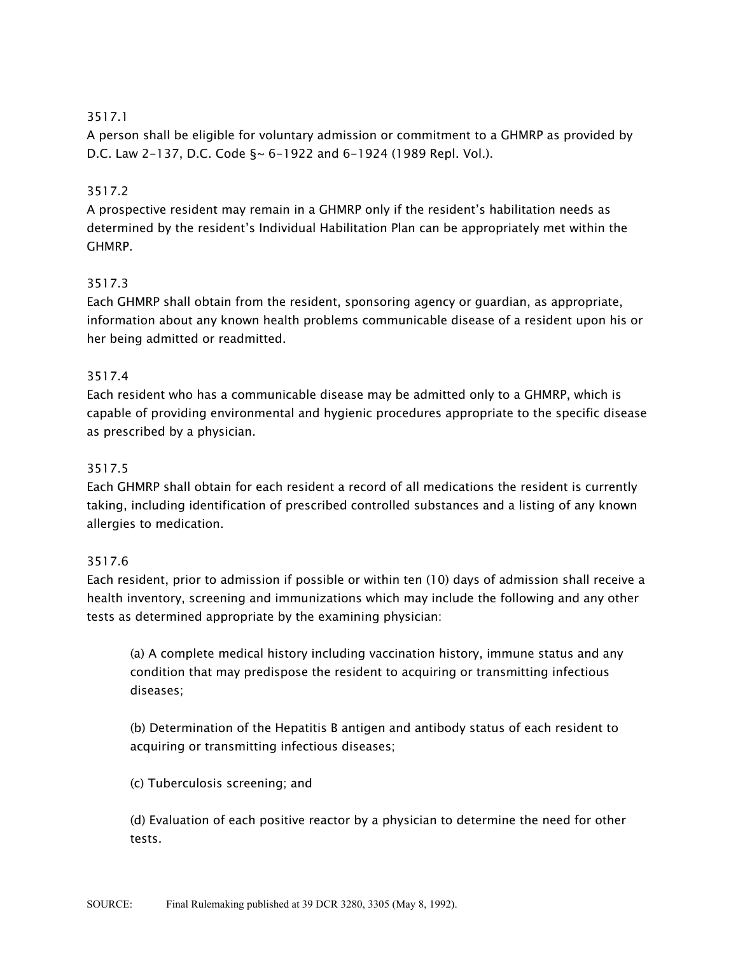A person shall be eligible for voluntary admission or commitment to a GHMRP as provided by D.C. Law 2-137, D.C. Code §~ 6-1922 and 6-1924 (1989 Repl. Vol.).

# 3517.2

A prospective resident may remain in a GHMRP only if the resident's habilitation needs as determined by the resident's Individual Habilitation Plan can be appropriately met within the GHMRP.

# 3517.3

Each GHMRP shall obtain from the resident, sponsoring agency or guardian, as appropriate, information about any known health problems communicable disease of a resident upon his or her being admitted or readmitted.

# 3517.4

Each resident who has a communicable disease may be admitted only to a GHMRP, which is capable of providing environmental and hygienic procedures appropriate to the specific disease as prescribed by a physician.

# 3517.5

Each GHMRP shall obtain for each resident a record of all medications the resident is currently taking, including identification of prescribed controlled substances and a listing of any known allergies to medication.

# 3517.6

Each resident, prior to admission if possible or within ten (10) days of admission shall receive a health inventory, screening and immunizations which may include the following and any other tests as determined appropriate by the examining physician:

(a) A complete medical history including vaccination history, immune status and any condition that may predispose the resident to acquiring or transmitting infectious diseases;

(b) Determination of the Hepatitis B antigen and antibody status of each resident to acquiring or transmitting infectious diseases;

(c) Tuberculosis screening; and

(d) Evaluation of each positive reactor by a physician to determine the need for other tests.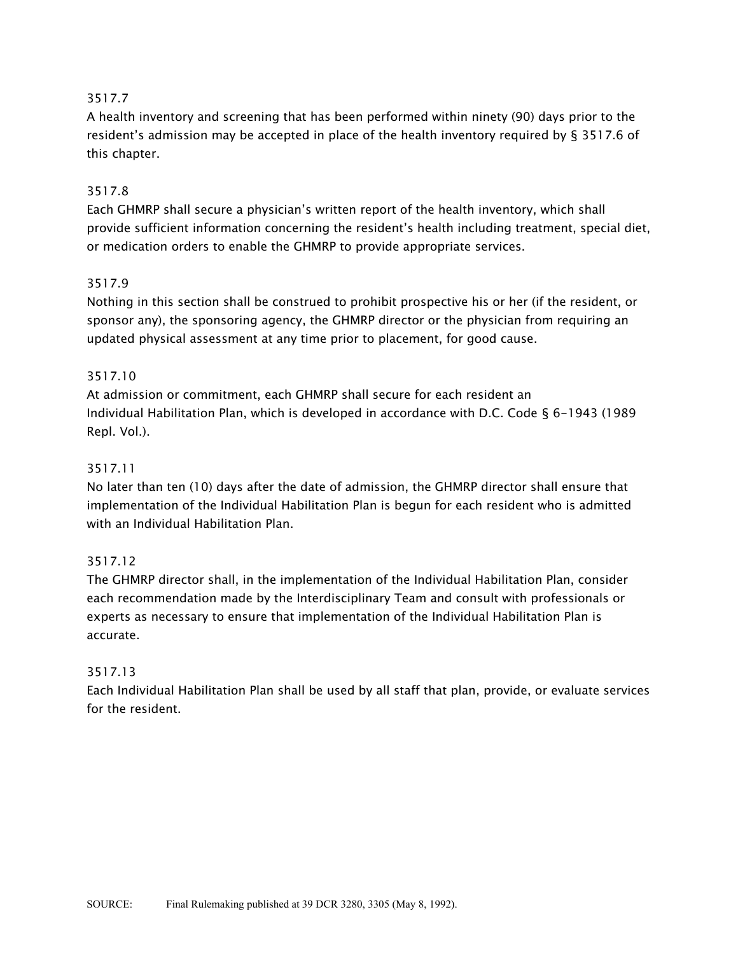A health inventory and screening that has been performed within ninety (90) days prior to the resident's admission may be accepted in place of the health inventory required by § 3517.6 of this chapter.

## 3517.8

Each GHMRP shall secure a physician's written report of the health inventory, which shall provide sufficient information concerning the resident's health including treatment, special diet, or medication orders to enable the GHMRP to provide appropriate services.

## 3517.9

Nothing in this section shall be construed to prohibit prospective his or her (if the resident, or sponsor any), the sponsoring agency, the GHMRP director or the physician from requiring an updated physical assessment at any time prior to placement, for good cause.

# 3517.10

At admission or commitment, each GHMRP shall secure for each resident an Individual Habilitation Plan, which is developed in accordance with D.C. Code § 6-1943 (1989 Repl. Vol.).

# 3517.11

No later than ten (10) days after the date of admission, the GHMRP director shall ensure that implementation of the Individual Habilitation Plan is begun for each resident who is admitted with an Individual Habilitation Plan.

## 3517.12

The GHMRP director shall, in the implementation of the Individual Habilitation Plan, consider each recommendation made by the Interdisciplinary Team and consult with professionals or experts as necessary to ensure that implementation of the Individual Habilitation Plan is accurate.

## 3517.13

Each Individual Habilitation Plan shall be used by all staff that plan, provide, or evaluate services for the resident.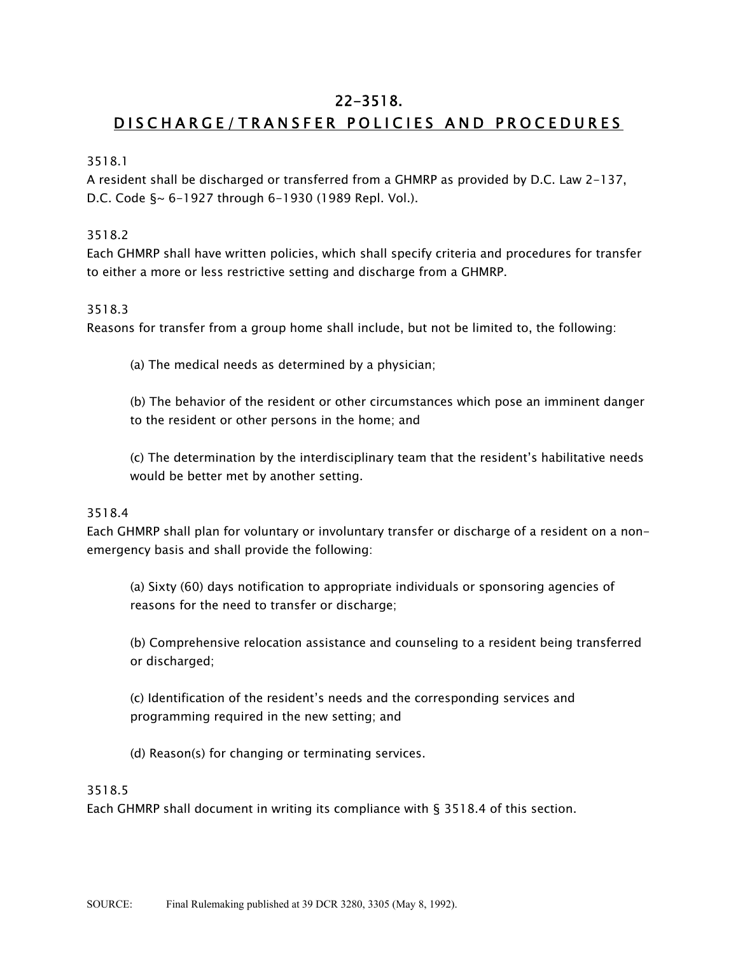# 22-3518.

# DISCHARGE/TRANSFER POLICIES AND PROCEDURES

# 3518.1

A resident shall be discharged or transferred from a GHMRP as provided by D.C. Law 2-137, D.C. Code §~ 6-1927 through 6-1930 (1989 Repl. Vol.).

# 3518.2

Each GHMRP shall have written policies, which shall specify criteria and procedures for transfer to either a more or less restrictive setting and discharge from a GHMRP.

# 3518.3

Reasons for transfer from a group home shall include, but not be limited to, the following:

(a) The medical needs as determined by a physician;

(b) The behavior of the resident or other circumstances which pose an imminent danger to the resident or other persons in the home; and

(c) The determination by the interdisciplinary team that the resident's habilitative needs would be better met by another setting.

# 3518.4

Each GHMRP shall plan for voluntary or involuntary transfer or discharge of a resident on a nonemergency basis and shall provide the following:

(a) Sixty (60) days notification to appropriate individuals or sponsoring agencies of reasons for the need to transfer or discharge;

(b) Comprehensive relocation assistance and counseling to a resident being transferred or discharged;

(c) Identification of the resident's needs and the corresponding services and programming required in the new setting; and

(d) Reason(s) for changing or terminating services.

# 3518.5

Each GHMRP shall document in writing its compliance with § 3518.4 of this section.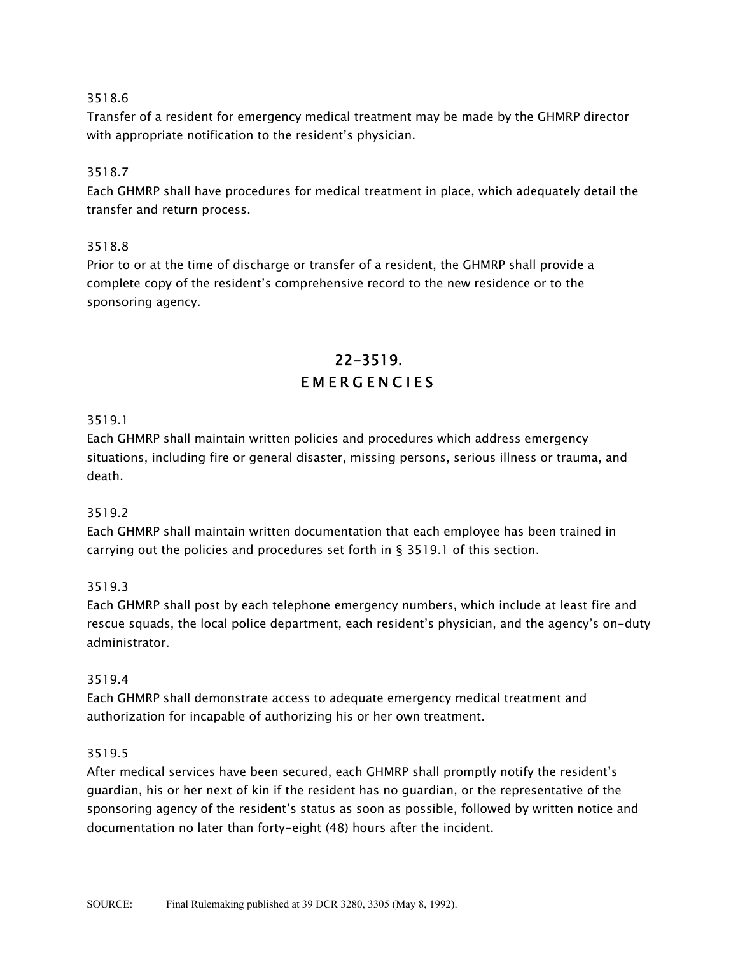Transfer of a resident for emergency medical treatment may be made by the GHMRP director with appropriate notification to the resident's physician.

# 3518.7

Each GHMRP shall have procedures for medical treatment in place, which adequately detail the transfer and return process.

# 3518.8

Prior to or at the time of discharge or transfer of a resident, the GHMRP shall provide a complete copy of the resident's comprehensive record to the new residence or to the sponsoring agency.

# 22-3519. EMERGENCIES

# 3519.1

Each GHMRP shall maintain written policies and procedures which address emergency situations, including fire or general disaster, missing persons, serious illness or trauma, and death.

# 3519.2

Each GHMRP shall maintain written documentation that each employee has been trained in carrying out the policies and procedures set forth in § 3519.1 of this section.

## 3519.3

Each GHMRP shall post by each telephone emergency numbers, which include at least fire and rescue squads, the local police department, each resident's physician, and the agency's on-duty administrator.

## 3519.4

Each GHMRP shall demonstrate access to adequate emergency medical treatment and authorization for incapable of authorizing his or her own treatment.

## 3519.5

After medical services have been secured, each GHMRP shall promptly notify the resident's guardian, his or her next of kin if the resident has no guardian, or the representative of the sponsoring agency of the resident's status as soon as possible, followed by written notice and documentation no later than forty-eight (48) hours after the incident.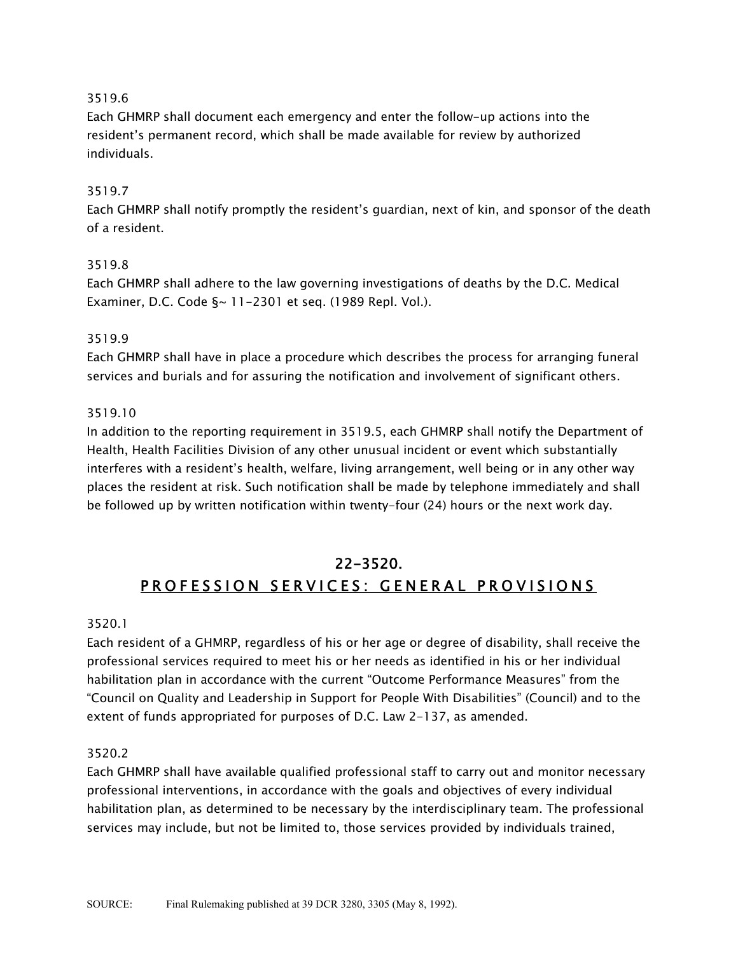Each GHMRP shall document each emergency and enter the follow-up actions into the resident's permanent record, which shall be made available for review by authorized individuals.

# 3519.7

Each GHMRP shall notify promptly the resident's guardian, next of kin, and sponsor of the death of a resident.

## 3519.8

Each GHMRP shall adhere to the law governing investigations of deaths by the D.C. Medical Examiner, D.C. Code §~ 11-2301 et seq. (1989 Repl. Vol.).

## 3519.9

Each GHMRP shall have in place a procedure which describes the process for arranging funeral services and burials and for assuring the notification and involvement of significant others.

## 3519.10

In addition to the reporting requirement in 3519.5, each GHMRP shall notify the Department of Health, Health Facilities Division of any other unusual incident or event which substantially interferes with a resident's health, welfare, living arrangement, well being or in any other way places the resident at risk. Such notification shall be made by telephone immediately and shall be followed up by written notification within twenty-four (24) hours or the next work day.

# 22-3520. PROFESSION SERVICES: GENERAL PROVISIONS

## 3520.1

Each resident of a GHMRP, regardless of his or her age or degree of disability, shall receive the professional services required to meet his or her needs as identified in his or her individual habilitation plan in accordance with the current "Outcome Performance Measures" from the "Council on Quality and Leadership in Support for People With Disabilities" (Council) and to the extent of funds appropriated for purposes of D.C. Law 2-137, as amended.

## 3520.2

Each GHMRP shall have available qualified professional staff to carry out and monitor necessary professional interventions, in accordance with the goals and objectives of every individual habilitation plan, as determined to be necessary by the interdisciplinary team. The professional services may include, but not be limited to, those services provided by individuals trained,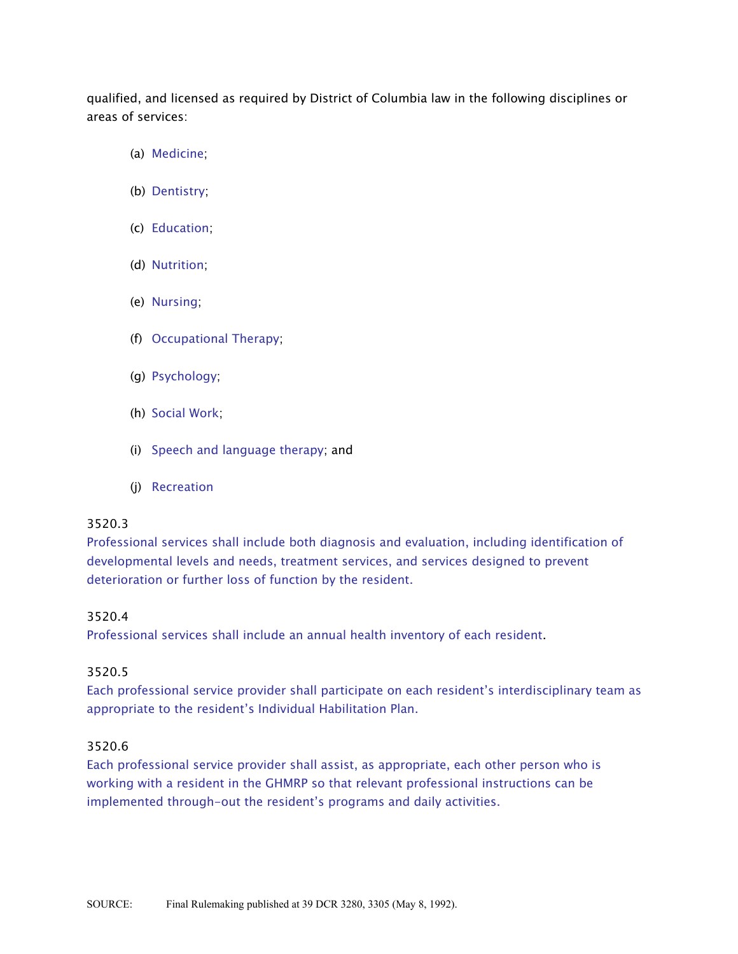qualified, and licensed as required by District of Columbia law in the following disciplines or areas of services:

- (a) Medicine;
- (b) Dentistry;
- (c) Education;
- (d) Nutrition;
- (e) Nursing;
- (f) Occupational Therapy;
- (g) Psychology;
- (h) Social Work;
- (i) Speech and language therapy; and
- (j) Recreation

#### 3520.3

Professional services shall include both diagnosis and evaluation, including identification of developmental levels and needs, treatment services, and services designed to prevent deterioration or further loss of function by the resident.

#### 3520.4

Professional services shall include an annual health inventory of each resident.

#### 3520.5

Each professional service provider shall participate on each resident's interdisciplinary team as appropriate to the resident's Individual Habilitation Plan.

#### 3520.6

Each professional service provider shall assist, as appropriate, each other person who is working with a resident in the GHMRP so that relevant professional instructions can be implemented through-out the resident's programs and daily activities.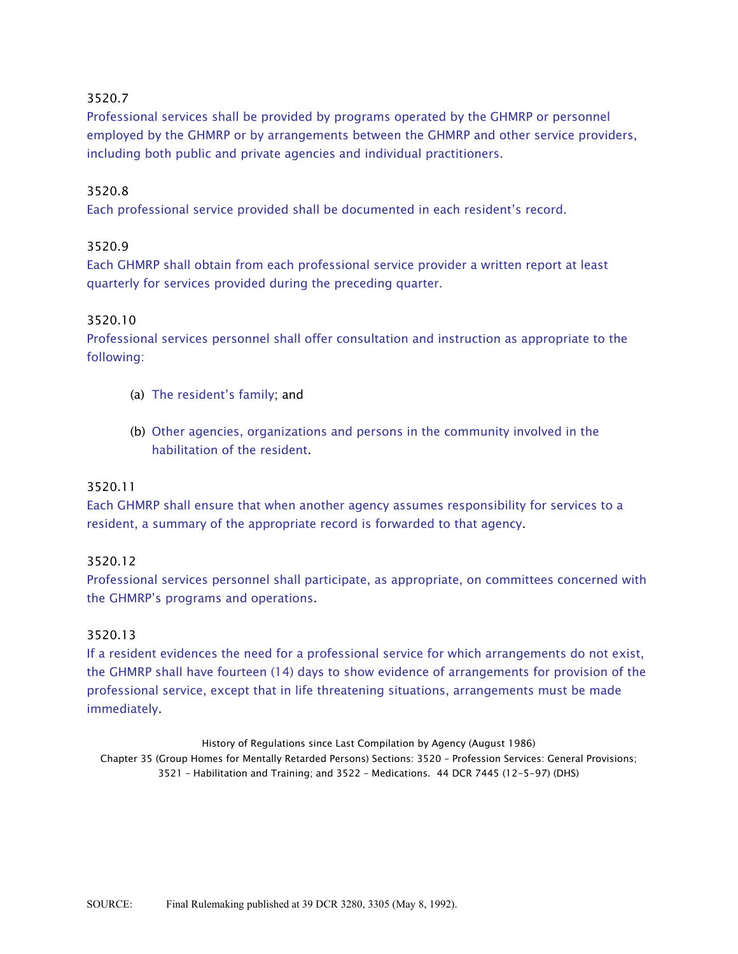Professional services shall be provided by programs operated by the GHMRP or personnel employed by the GHMRP or by arrangements between the GHMRP and other service providers, including both public and private agencies and individual practitioners.

#### 3520.8

Each professional service provided shall be documented in each resident's record.

#### 3520.9

Each GHMRP shall obtain from each professional service provider a written report at least quarterly for services provided during the preceding quarter.

#### 3520.10

Professional services personnel shall offer consultation and instruction as appropriate to the following:

- (a) The resident's family; and
- (b) Other agencies, organizations and persons in the community involved in the habilitation of the resident.

#### 3520.11

Each GHMRP shall ensure that when another agency assumes responsibility for services to a resident, a summary of the appropriate record is forwarded to that agency.

#### 3520.12

Professional services personnel shall participate, as appropriate, on committees concerned with the GHMRP's programs and operations.

#### 3520.13

If a resident evidences the need for a professional service for which arrangements do not exist, the GHMRP shall have fourteen (14) days to show evidence of arrangements for provision of the professional service, except that in life threatening situations, arrangements must be made immediately.

History of Regulations since Last Compilation by Agency (August 1986) Chapter 35 (Group Homes for Mentally Retarded Persons) Sections: 3520 - Profession Services: General Provisions;  $3521$  - Habilitation and Training; and  $3522$  - Medications. 44 DCR 7445 (12-5-97) (DHS)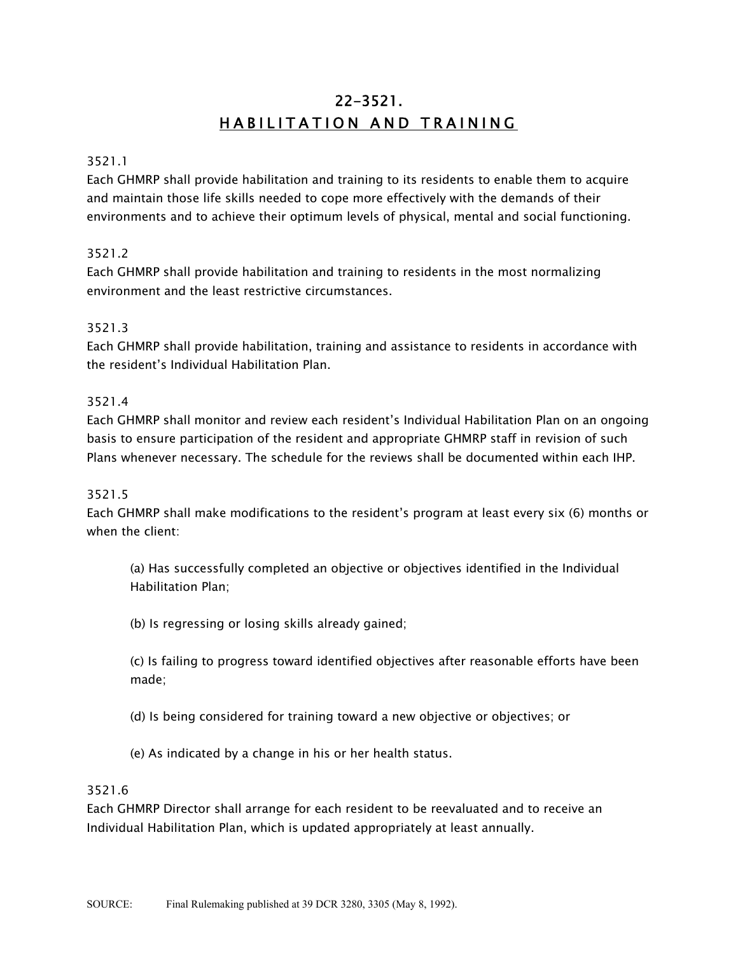# 22-3521. HABILITATION AND TRAINING

#### 3521.1

Each GHMRP shall provide habilitation and training to its residents to enable them to acquire and maintain those life skills needed to cope more effectively with the demands of their environments and to achieve their optimum levels of physical, mental and social functioning.

#### 3521.2

Each GHMRP shall provide habilitation and training to residents in the most normalizing environment and the least restrictive circumstances.

#### 3521.3

Each GHMRP shall provide habilitation, training and assistance to residents in accordance with the resident's Individual Habilitation Plan.

#### 3521.4

Each GHMRP shall monitor and review each resident's Individual Habilitation Plan on an ongoing basis to ensure participation of the resident and appropriate GHMRP staff in revision of such Plans whenever necessary. The schedule for the reviews shall be documented within each IHP.

#### 3521.5

Each GHMRP shall make modifications to the resident's program at least every six (6) months or when the client:

(a) Has successfully completed an objective or objectives identified in the Individual Habilitation Plan;

(b) Is regressing or losing skills already gained;

(c) Is failing to progress toward identified objectives after reasonable efforts have been made;

(d) Is being considered for training toward a new objective or objectives; or

(e) As indicated by a change in his or her health status.

#### 3521.6

Each GHMRP Director shall arrange for each resident to be reevaluated and to receive an Individual Habilitation Plan, which is updated appropriately at least annually.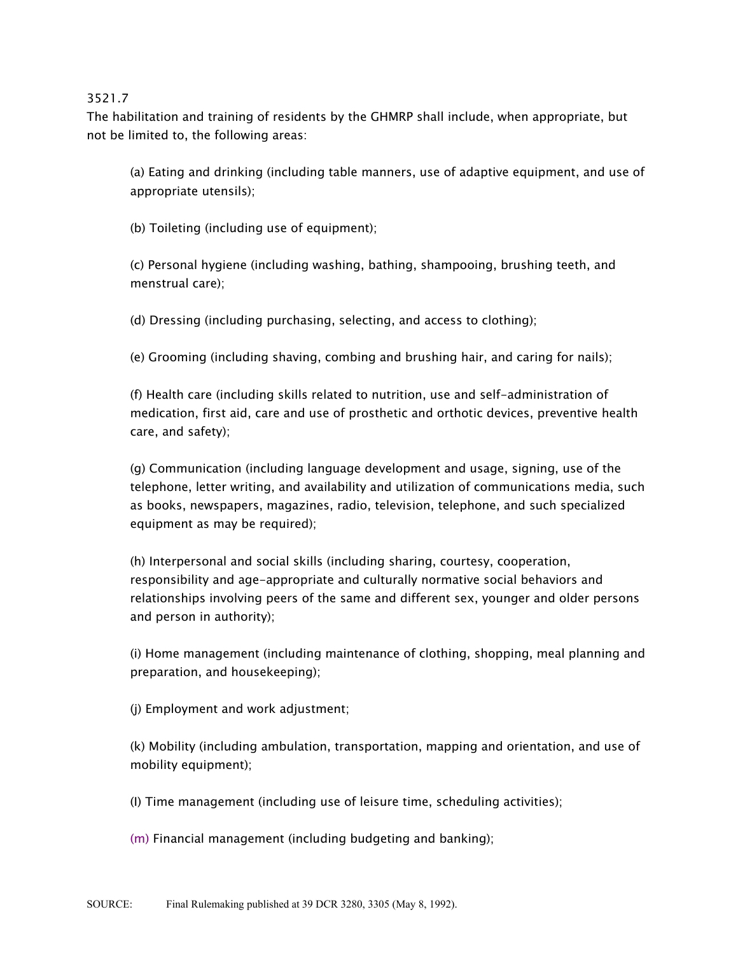The habilitation and training of residents by the GHMRP shall include, when appropriate, but not be limited to, the following areas:

(a) Eating and drinking (including table manners, use of adaptive equipment, and use of appropriate utensils);

(b) Toileting (including use of equipment);

(c) Personal hygiene (including washing, bathing, shampooing, brushing teeth, and menstrual care);

(d) Dressing (including purchasing, selecting, and access to clothing);

(e) Grooming (including shaving, combing and brushing hair, and caring for nails);

(f) Health care (including skills related to nutrition, use and self-administration of medication, first aid, care and use of prosthetic and orthotic devices, preventive health care, and safety);

(g) Communication (including language development and usage, signing, use of the telephone, letter writing, and availability and utilization of communications media, such as books, newspapers, magazines, radio, television, telephone, and such specialized equipment as may be required);

(h) Interpersonal and social skills (including sharing, courtesy, cooperation, responsibility and age-appropriate and culturally normative social behaviors and relationships involving peers of the same and different sex, younger and older persons and person in authority);

(i) Home management (including maintenance of clothing, shopping, meal planning and preparation, and housekeeping);

(j) Employment and work adjustment;

(k) Mobility (including ambulation, transportation, mapping and orientation, and use of mobility equipment);

(I) Time management (including use of leisure time, scheduling activities);

(m) Financial management (including budgeting and banking);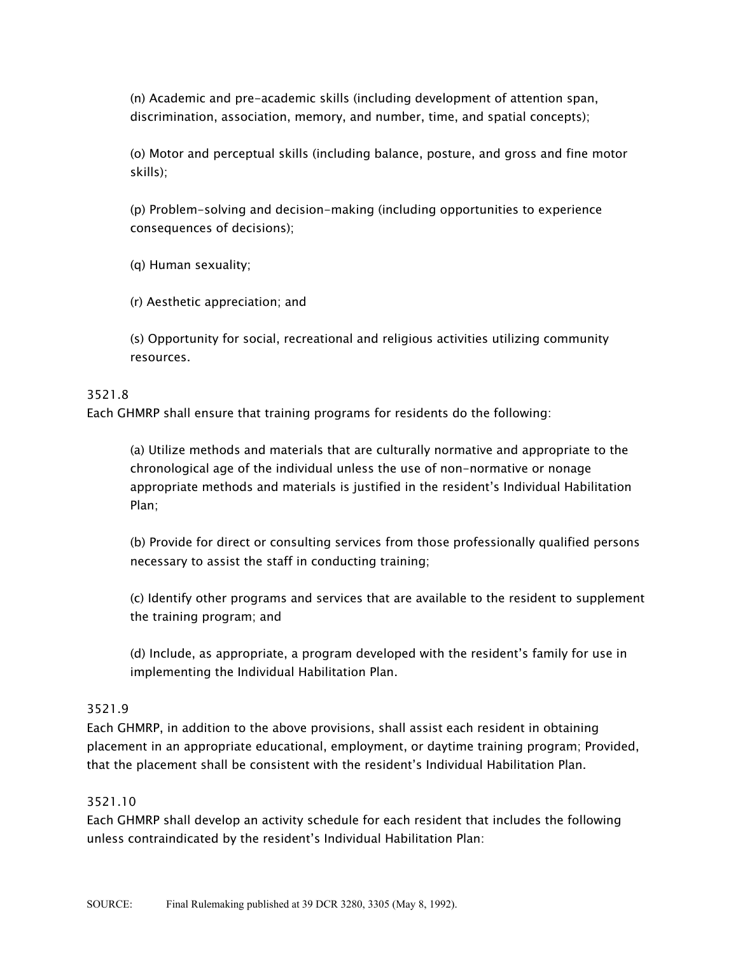(n) Academic and pre-academic skills (including development of attention span, discrimination, association, memory, and number, time, and spatial concepts);

(o) Motor and perceptual skills (including balance, posture, and gross and fine motor skills);

(p) Problem-solving and decision-making (including opportunities to experience consequences of decisions);

(q) Human sexuality;

(r) Aesthetic appreciation; and

(s) Opportunity for social, recreational and religious activities utilizing community resources.

#### 3521.8

Each GHMRP shall ensure that training programs for residents do the following:

(a) Utilize methods and materials that are culturally normative and appropriate to the chronological age of the individual unless the use of non-normative or nonage appropriate methods and materials is justified in the resident's Individual Habilitation Plan;

(b) Provide for direct or consulting services from those professionally qualified persons necessary to assist the staff in conducting training;

(c) Identify other programs and services that are available to the resident to supplement the training program; and

(d) Include, as appropriate, a program developed with the resident's family for use in implementing the Individual Habilitation Plan.

#### 3521.9

Each GHMRP, in addition to the above provisions, shall assist each resident in obtaining placement in an appropriate educational, employment, or daytime training program; Provided, that the placement shall be consistent with the resident's Individual Habilitation Plan.

#### 3521.10

Each GHMRP shall develop an activity schedule for each resident that includes the following unless contraindicated by the resident's Individual Habilitation Plan: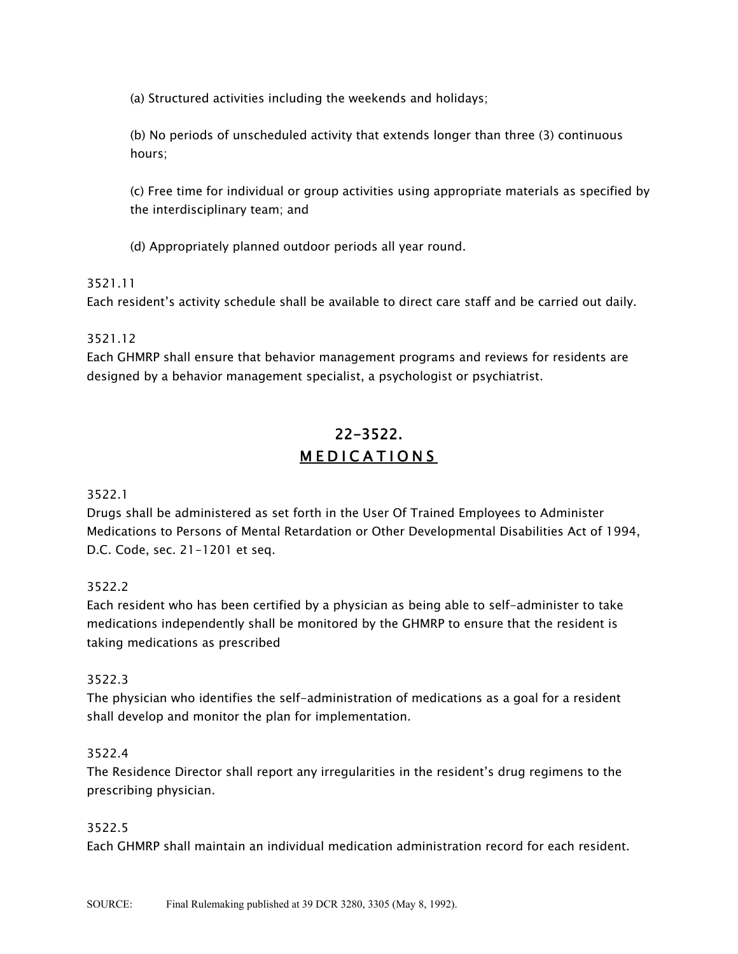(a) Structured activities including the weekends and holidays;

(b) No periods of unscheduled activity that extends longer than three (3) continuous hours;

(c) Free time for individual or group activities using appropriate materials as specified by the interdisciplinary team; and

(d) Appropriately planned outdoor periods all year round.

# 3521.11

Each resident's activity schedule shall be available to direct care staff and be carried out daily.

# 3521.12

Each GHMRP shall ensure that behavior management programs and reviews for residents are designed by a behavior management specialist, a psychologist or psychiatrist.

# 22-3522. MEDICATIONS

## 3522.1

Drugs shall be administered as set forth in the User Of Trained Employees to Administer Medications to Persons of Mental Retardation or Other Developmental Disabilities Act of 1994, D.C. Code, sec. 21-1201 et seq.

# 3522.2

Each resident who has been certified by a physician as being able to self-administer to take medications independently shall be monitored by the GHMRP to ensure that the resident is taking medications as prescribed

# 3522.3

The physician who identifies the self-administration of medications as a goal for a resident shall develop and monitor the plan for implementation.

## 3522.4

The Residence Director shall report any irregularities in the resident's drug regimens to the prescribing physician.

## 3522.5

Each GHMRP shall maintain an individual medication administration record for each resident.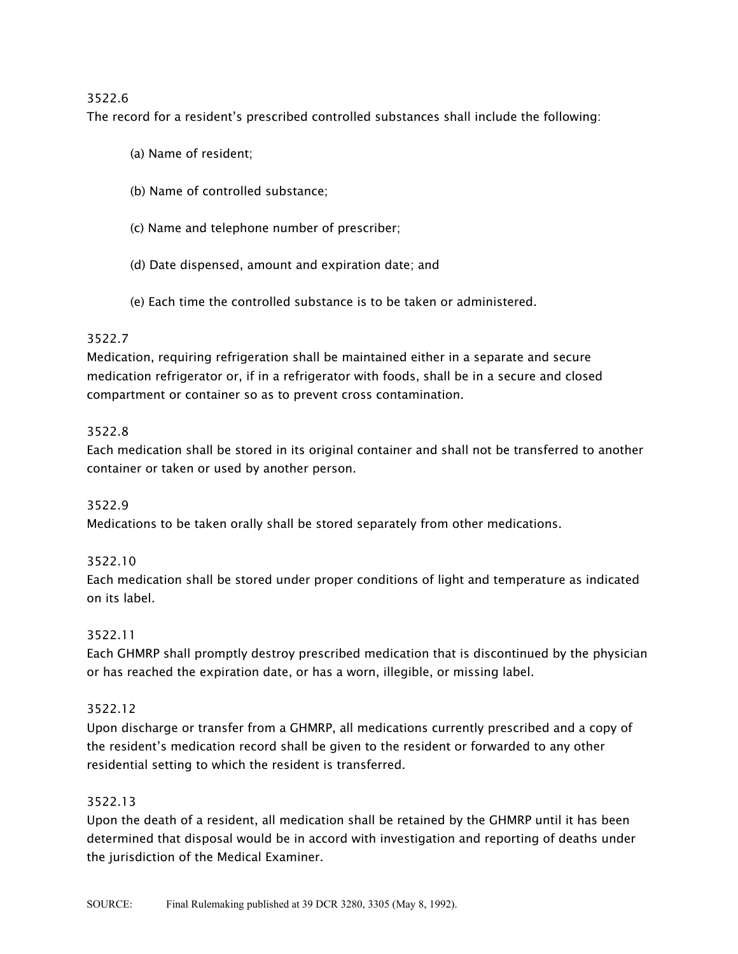The record for a resident's prescribed controlled substances shall include the following:

- (a) Name of resident;
- (b) Name of controlled substance;
- (c) Name and telephone number of prescriber;
- (d) Date dispensed, amount and expiration date; and
- (e) Each time the controlled substance is to be taken or administered.

## 3522.7

Medication, requiring refrigeration shall be maintained either in a separate and secure medication refrigerator or, if in a refrigerator with foods, shall be in a secure and closed compartment or container so as to prevent cross contamination.

## 3522.8

Each medication shall be stored in its original container and shall not be transferred to another container or taken or used by another person.

## 3522.9

Medications to be taken orally shall be stored separately from other medications.

## 3522.10

Each medication shall be stored under proper conditions of light and temperature as indicated on its label.

## 3522.11

Each GHMRP shall promptly destroy prescribed medication that is discontinued by the physician or has reached the expiration date, or has a worn, illegible, or missing label.

## 3522.12

Upon discharge or transfer from a GHMRP, all medications currently prescribed and a copy of the resident's medication record shall be given to the resident or forwarded to any other residential setting to which the resident is transferred.

## 3522.13

Upon the death of a resident, all medication shall be retained by the GHMRP until it has been determined that disposal would be in accord with investigation and reporting of deaths under the jurisdiction of the Medical Examiner.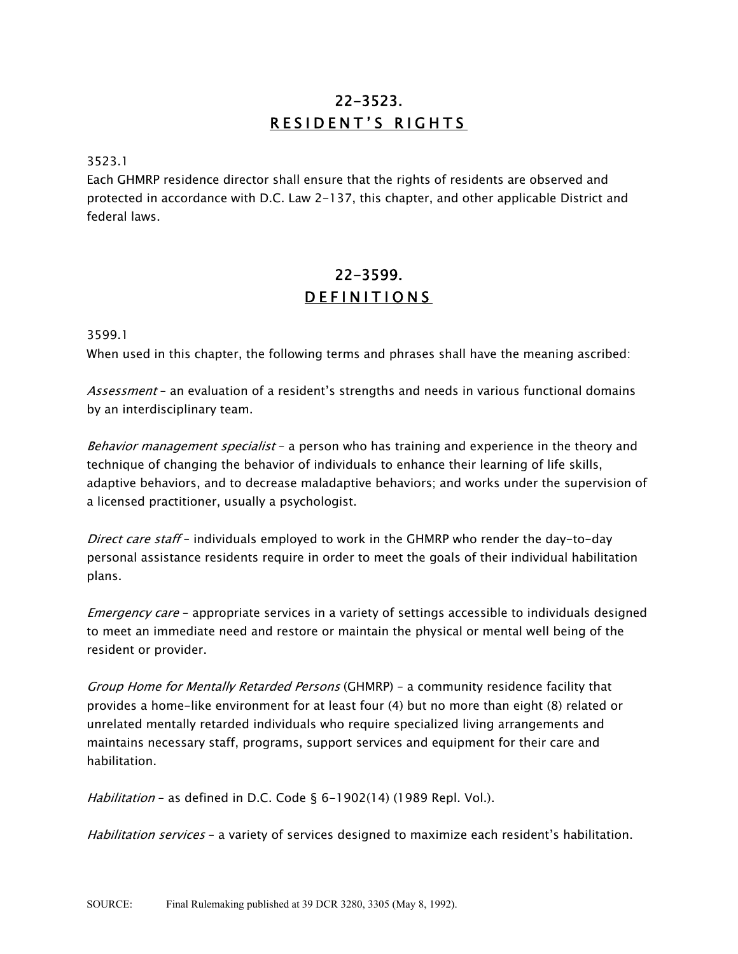# 22-3523. RESIDENT'S RIGHTS

#### 3523.1

Each GHMRP residence director shall ensure that the rights of residents are observed and protected in accordance with D.C. Law 2-137, this chapter, and other applicable District and federal laws.

# 22-3599. DEFINITIONS

3599.1

When used in this chapter, the following terms and phrases shall have the meaning ascribed:

Assessment - an evaluation of a resident's strengths and needs in various functional domains by an interdisciplinary team.

Behavior management specialist - a person who has training and experience in the theory and technique of changing the behavior of individuals to enhance their learning of life skills, adaptive behaviors, and to decrease maladaptive behaviors; and works under the supervision of a licensed practitioner, usually a psychologist.

Direct care staff - individuals employed to work in the GHMRP who render the day-to-day personal assistance residents require in order to meet the goals of their individual habilitation plans.

*Emergency care* - appropriate services in a variety of settings accessible to individuals designed to meet an immediate need and restore or maintain the physical or mental well being of the resident or provider.

Group Home for Mentally Retarded Persons (GHMRP) - a community residence facility that provides a home-like environment for at least four (4) but no more than eight (8) related or unrelated mentally retarded individuals who require specialized living arrangements and maintains necessary staff, programs, support services and equipment for their care and habilitation.

Habilitation - as defined in D.C. Code § 6-1902(14) (1989 Repl. Vol.).

Habilitation services - a variety of services designed to maximize each resident's habilitation.